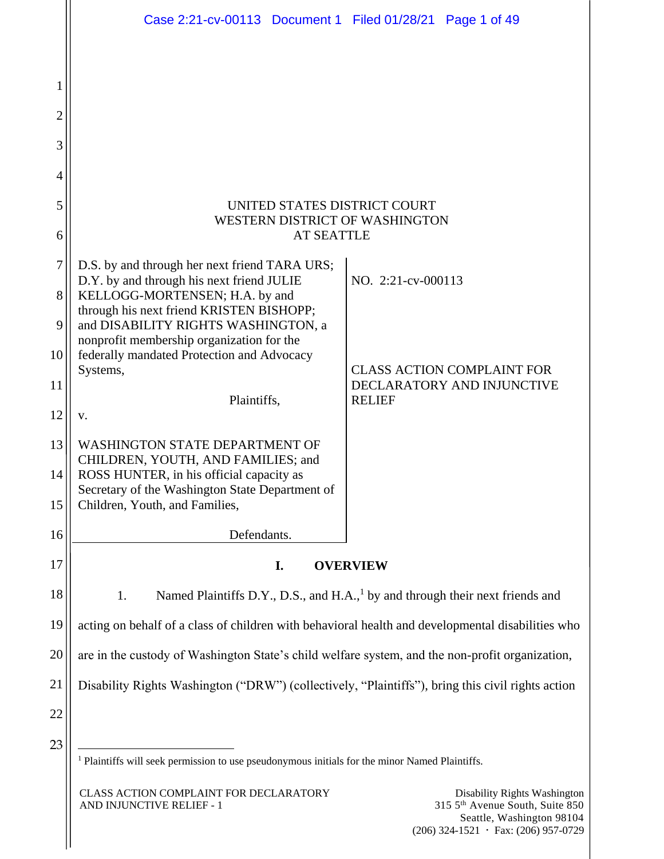|                | Case 2:21-cv-00113 Document 1 Filed 01/28/21 Page 1 of 49                                                 |                    |                                                                 |
|----------------|-----------------------------------------------------------------------------------------------------------|--------------------|-----------------------------------------------------------------|
|                |                                                                                                           |                    |                                                                 |
| 1              |                                                                                                           |                    |                                                                 |
| $\overline{2}$ |                                                                                                           |                    |                                                                 |
| 3              |                                                                                                           |                    |                                                                 |
| 4              |                                                                                                           |                    |                                                                 |
| 5<br>6         | UNITED STATES DISTRICT COURT<br>WESTERN DISTRICT OF WASHINGTON<br><b>AT SEATTLE</b>                       |                    |                                                                 |
| 7              | D.S. by and through her next friend TARA URS;                                                             |                    |                                                                 |
| 8              | D.Y. by and through his next friend JULIE<br>KELLOGG-MORTENSEN; H.A. by and                               | NO. 2:21-cv-000113 |                                                                 |
| 9              | through his next friend KRISTEN BISHOPP;<br>and DISABILITY RIGHTS WASHINGTON, a                           |                    |                                                                 |
| 10             | nonprofit membership organization for the<br>federally mandated Protection and Advocacy                   |                    |                                                                 |
| 11             | Systems,                                                                                                  |                    | <b>CLASS ACTION COMPLAINT FOR</b><br>DECLARATORY AND INJUNCTIVE |
| 12             | Plaintiffs,<br>V.                                                                                         | <b>RELIEF</b>      |                                                                 |
| 13             | <b>WASHINGTON STATE DEPARTMENT OF</b>                                                                     |                    |                                                                 |
| 14             | CHILDREN, YOUTH, AND FAMILIES; and<br>ROSS HUNTER, in his official capacity as                            |                    |                                                                 |
| 15             | Secretary of the Washington State Department of<br>Children, Youth, and Families,                         |                    |                                                                 |
| 16             | Defendants.                                                                                               |                    |                                                                 |
| 17             | <b>OVERVIEW</b><br>I.                                                                                     |                    |                                                                 |
| 18             | Named Plaintiffs D.Y., D.S., and H.A., <sup>1</sup> by and through their next friends and<br>1.           |                    |                                                                 |
| 19             | acting on behalf of a class of children with behavioral health and developmental disabilities who         |                    |                                                                 |
| 20             | are in the custody of Washington State's child welfare system, and the non-profit organization,           |                    |                                                                 |
| 21             | Disability Rights Washington ("DRW") (collectively, "Plaintiffs"), bring this civil rights action         |                    |                                                                 |
| 22             |                                                                                                           |                    |                                                                 |
| 23             |                                                                                                           |                    |                                                                 |
|                | <sup>1</sup> Plaintiffs will seek permission to use pseudonymous initials for the minor Named Plaintiffs. |                    |                                                                 |
|                | CLASS ACTION COMPLAINT FOR DECLARATORY<br>AND INJUNCTIVE RELIEF - 1                                       |                    | Disability Rights Washington<br>315 5th Avenue South, Suite 850 |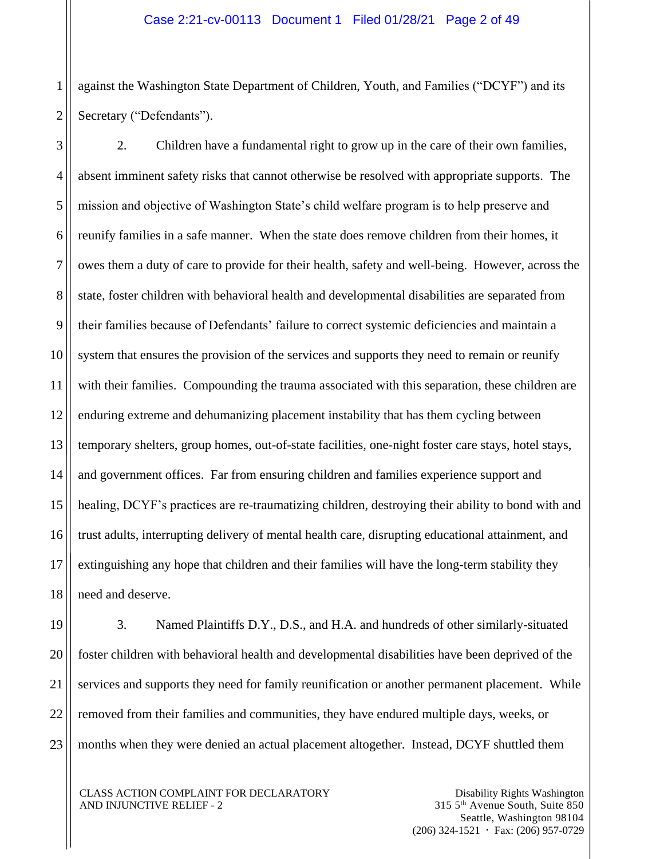1 2 against the Washington State Department of Children, Youth, and Families ("DCYF") and its Secretary ("Defendants").

3 4 5 6 7 8 9 10 11 12 13 14 15 16 17 18 2. Children have a fundamental right to grow up in the care of their own families, absent imminent safety risks that cannot otherwise be resolved with appropriate supports. The mission and objective of Washington State's child welfare program is to help preserve and reunify families in a safe manner. When the state does remove children from their homes, it owes them a duty of care to provide for their health, safety and well-being. However, across the state, foster children with behavioral health and developmental disabilities are separated from their families because of Defendants' failure to correct systemic deficiencies and maintain a system that ensures the provision of the services and supports they need to remain or reunify with their families. Compounding the trauma associated with this separation, these children are enduring extreme and dehumanizing placement instability that has them cycling between temporary shelters, group homes, out-of-state facilities, one-night foster care stays, hotel stays, and government offices. Far from ensuring children and families experience support and healing, DCYF's practices are re-traumatizing children, destroying their ability to bond with and trust adults, interrupting delivery of mental health care, disrupting educational attainment, and extinguishing any hope that children and their families will have the long-term stability they need and deserve.

19 3. Named Plaintiffs D.Y., D.S., and H.A. and hundreds of other similarly-situated foster children with behavioral health and developmental disabilities have been deprived of the services and supports they need for family reunification or another permanent placement. While removed from their families and communities, they have endured multiple days, weeks, or months when they were denied an actual placement altogether. Instead, DCYF shuttled them

CLASS ACTION COMPLAINT FOR DECLARATORY AND INJUNCTIVE RELIEF - 2

20

21

22

23

Disability Rights Washington 315 5th Avenue South, Suite 850 Seattle, Washington 98104  $(206)$  324-1521  $\cdot$  Fax: (206) 957-0729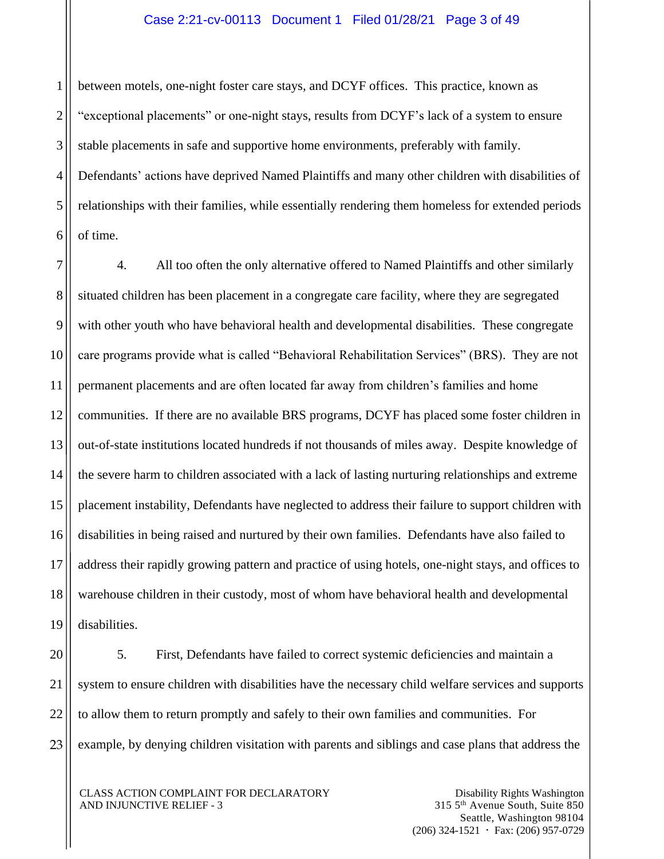#### Case 2:21-cv-00113 Document 1 Filed 01/28/21 Page 3 of 49

1 2 3 4 5 6 between motels, one-night foster care stays, and DCYF offices. This practice, known as "exceptional placements" or one-night stays, results from DCYF's lack of a system to ensure stable placements in safe and supportive home environments, preferably with family. Defendants' actions have deprived Named Plaintiffs and many other children with disabilities of relationships with their families, while essentially rendering them homeless for extended periods of time.

7 8 9 10 11 12 13 14 15 16 17 18 19 4. All too often the only alternative offered to Named Plaintiffs and other similarly situated children has been placement in a congregate care facility, where they are segregated with other youth who have behavioral health and developmental disabilities. These congregate care programs provide what is called "Behavioral Rehabilitation Services" (BRS). They are not permanent placements and are often located far away from children's families and home communities. If there are no available BRS programs, DCYF has placed some foster children in out-of-state institutions located hundreds if not thousands of miles away. Despite knowledge of the severe harm to children associated with a lack of lasting nurturing relationships and extreme placement instability, Defendants have neglected to address their failure to support children with disabilities in being raised and nurtured by their own families. Defendants have also failed to address their rapidly growing pattern and practice of using hotels, one-night stays, and offices to warehouse children in their custody, most of whom have behavioral health and developmental disabilities.

20 21 22 23 5. First, Defendants have failed to correct systemic deficiencies and maintain a system to ensure children with disabilities have the necessary child welfare services and supports to allow them to return promptly and safely to their own families and communities. For example, by denying children visitation with parents and siblings and case plans that address the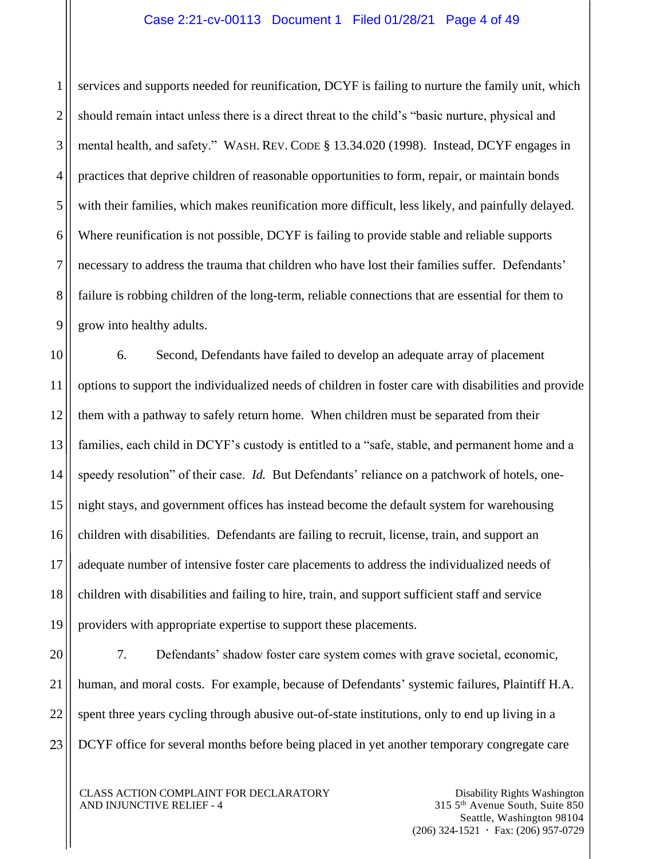#### Case 2:21-cv-00113 Document 1 Filed 01/28/21 Page 4 of 49

1 2 3 4 5 6 7 8 9 services and supports needed for reunification, DCYF is failing to nurture the family unit, which should remain intact unless there is a direct threat to the child's "basic nurture, physical and mental health, and safety." WASH. REV. CODE § 13.34.020 (1998). Instead, DCYF engages in practices that deprive children of reasonable opportunities to form, repair, or maintain bonds with their families, which makes reunification more difficult, less likely, and painfully delayed. Where reunification is not possible, DCYF is failing to provide stable and reliable supports necessary to address the trauma that children who have lost their families suffer. Defendants' failure is robbing children of the long-term, reliable connections that are essential for them to grow into healthy adults.

10 11 12 13 14 15 16 17 18 19 6. Second, Defendants have failed to develop an adequate array of placement options to support the individualized needs of children in foster care with disabilities and provide them with a pathway to safely return home. When children must be separated from their families, each child in DCYF's custody is entitled to a "safe, stable, and permanent home and a speedy resolution" of their case. *Id.* But Defendants' reliance on a patchwork of hotels, onenight stays, and government offices has instead become the default system for warehousing children with disabilities. Defendants are failing to recruit, license, train, and support an adequate number of intensive foster care placements to address the individualized needs of children with disabilities and failing to hire, train, and support sufficient staff and service providers with appropriate expertise to support these placements.

20 21 22 23 7. Defendants' shadow foster care system comes with grave societal, economic, human, and moral costs. For example, because of Defendants' systemic failures, Plaintiff H.A. spent three years cycling through abusive out-of-state institutions, only to end up living in a DCYF office for several months before being placed in yet another temporary congregate care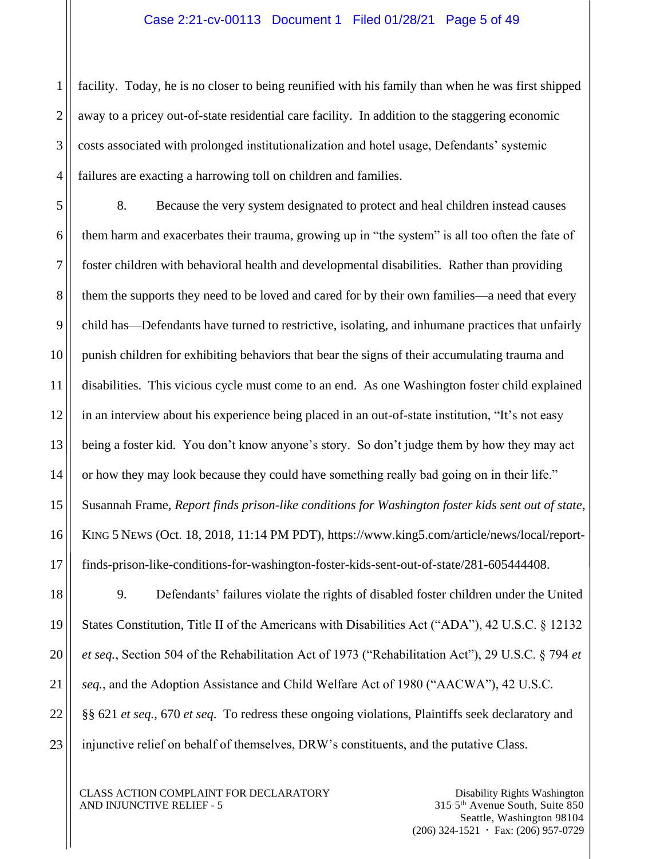#### Case 2:21-cv-00113 Document 1 Filed 01/28/21 Page 5 of 49

2 facility. Today, he is no closer to being reunified with his family than when he was first shipped away to a pricey out-of-state residential care facility. In addition to the staggering economic costs associated with prolonged institutionalization and hotel usage, Defendants' systemic failures are exacting a harrowing toll on children and families.

8. Because the very system designated to protect and heal children instead causes them harm and exacerbates their trauma, growing up in "the system" is all too often the fate of foster children with behavioral health and developmental disabilities. Rather than providing them the supports they need to be loved and cared for by their own families—a need that every child has—Defendants have turned to restrictive, isolating, and inhumane practices that unfairly punish children for exhibiting behaviors that bear the signs of their accumulating trauma and disabilities. This vicious cycle must come to an end. As one Washington foster child explained in an interview about his experience being placed in an out-of-state institution, "It's not easy being a foster kid. You don't know anyone's story. So don't judge them by how they may act or how they may look because they could have something really bad going on in their life." Susannah Frame, *Report finds prison-like conditions for Washington foster kids sent out of state*, KING 5 NEWS (Oct. 18, 2018, 11:14 PM PDT), https://www.king5.com/article/news/local/reportfinds-prison-like-conditions-for-washington-foster-kids-sent-out-of-state/281-605444408.

9. Defendants' failures violate the rights of disabled foster children under the United States Constitution, Title II of the Americans with Disabilities Act ("ADA"), 42 U.S.C. § 12132 *et seq.*, Section 504 of the Rehabilitation Act of 1973 ("Rehabilitation Act"), 29 U.S.C. § 794 *et seq.*, and the Adoption Assistance and Child Welfare Act of 1980 ("AACWA"), 42 U.S.C. §§ 621 *et seq.*, 670 *et seq*. To redress these ongoing violations, Plaintiffs seek declaratory and injunctive relief on behalf of themselves, DRW's constituents, and the putative Class.

CLASS ACTION COMPLAINT FOR DECLARATORY AND INJUNCTIVE RELIEF - 5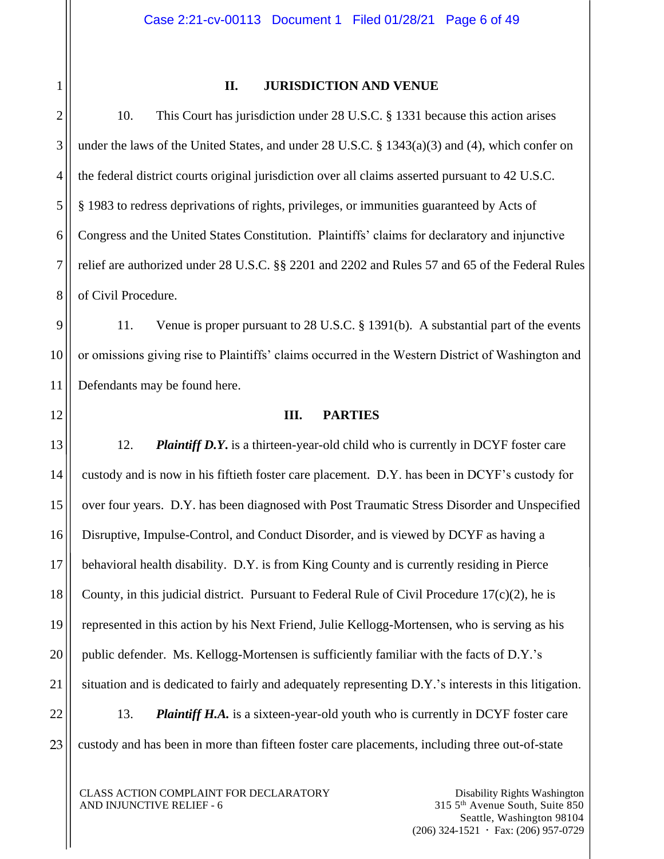1

# **II. JURISDICTION AND VENUE**

10. This Court has jurisdiction under 28 U.S.C. § 1331 because this action arises under the laws of the United States, and under 28 U.S.C. § 1343(a)(3) and (4), which confer on the federal district courts original jurisdiction over all claims asserted pursuant to 42 U.S.C. § 1983 to redress deprivations of rights, privileges, or immunities guaranteed by Acts of Congress and the United States Constitution. Plaintiffs' claims for declaratory and injunctive relief are authorized under 28 U.S.C. §§ 2201 and 2202 and Rules 57 and 65 of the Federal Rules of Civil Procedure.

11. Venue is proper pursuant to 28 U.S.C. § 1391(b). A substantial part of the events or omissions giving rise to Plaintiffs' claims occurred in the Western District of Washington and Defendants may be found here.

#### **III. PARTIES**

12. *Plaintiff D.Y***.** is a thirteen-year-old child who is currently in DCYF foster care custody and is now in his fiftieth foster care placement. D.Y. has been in DCYF's custody for over four years. D.Y. has been diagnosed with Post Traumatic Stress Disorder and Unspecified Disruptive, Impulse-Control, and Conduct Disorder, and is viewed by DCYF as having a behavioral health disability. D.Y. is from King County and is currently residing in Pierce County, in this judicial district. Pursuant to Federal Rule of Civil Procedure  $17(c)(2)$ , he is represented in this action by his Next Friend, Julie Kellogg-Mortensen, who is serving as his public defender. Ms. Kellogg-Mortensen is sufficiently familiar with the facts of D.Y.'s situation and is dedicated to fairly and adequately representing D.Y.'s interests in this litigation.

22 23 13. *Plaintiff H.A.* is a sixteen-year-old youth who is currently in DCYF foster care custody and has been in more than fifteen foster care placements, including three out-of-state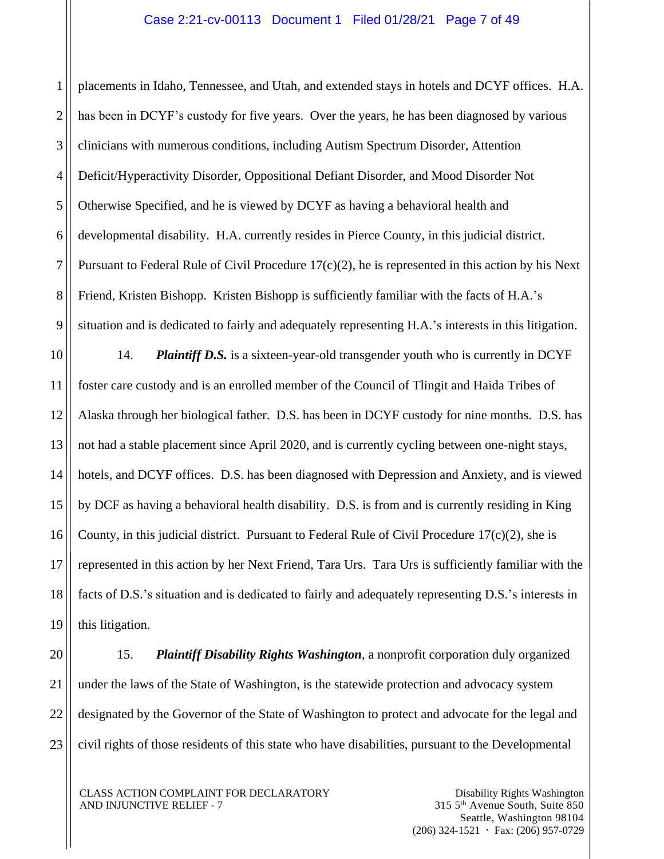1 2 3 4 5 6 7 8 9 placements in Idaho, Tennessee, and Utah, and extended stays in hotels and DCYF offices. H.A. has been in DCYF's custody for five years. Over the years, he has been diagnosed by various clinicians with numerous conditions, including Autism Spectrum Disorder, Attention Deficit/Hyperactivity Disorder, Oppositional Defiant Disorder, and Mood Disorder Not Otherwise Specified, and he is viewed by DCYF as having a behavioral health and developmental disability. H.A. currently resides in Pierce County, in this judicial district. Pursuant to Federal Rule of Civil Procedure  $17(c)(2)$ , he is represented in this action by his Next Friend, Kristen Bishopp. Kristen Bishopp is sufficiently familiar with the facts of H.A.'s situation and is dedicated to fairly and adequately representing H.A.'s interests in this litigation.

10 11 12 13 14 15 16 17 18 19 14. *Plaintiff D.S.* is a sixteen-year-old transgender youth who is currently in DCYF foster care custody and is an enrolled member of the Council of Tlingit and Haida Tribes of Alaska through her biological father. D.S. has been in DCYF custody for nine months. D.S. has not had a stable placement since April 2020, and is currently cycling between one-night stays, hotels, and DCYF offices. D.S. has been diagnosed with Depression and Anxiety, and is viewed by DCF as having a behavioral health disability. D.S. is from and is currently residing in King County, in this judicial district. Pursuant to Federal Rule of Civil Procedure  $17(c)(2)$ , she is represented in this action by her Next Friend, Tara Urs. Tara Urs is sufficiently familiar with the facts of D.S.'s situation and is dedicated to fairly and adequately representing D.S.'s interests in this litigation.

20

21

22

23

15. *Plaintiff Disability Rights Washington*, a nonprofit corporation duly organized under the laws of the State of Washington, is the statewide protection and advocacy system designated by the Governor of the State of Washington to protect and advocate for the legal and civil rights of those residents of this state who have disabilities, pursuant to the Developmental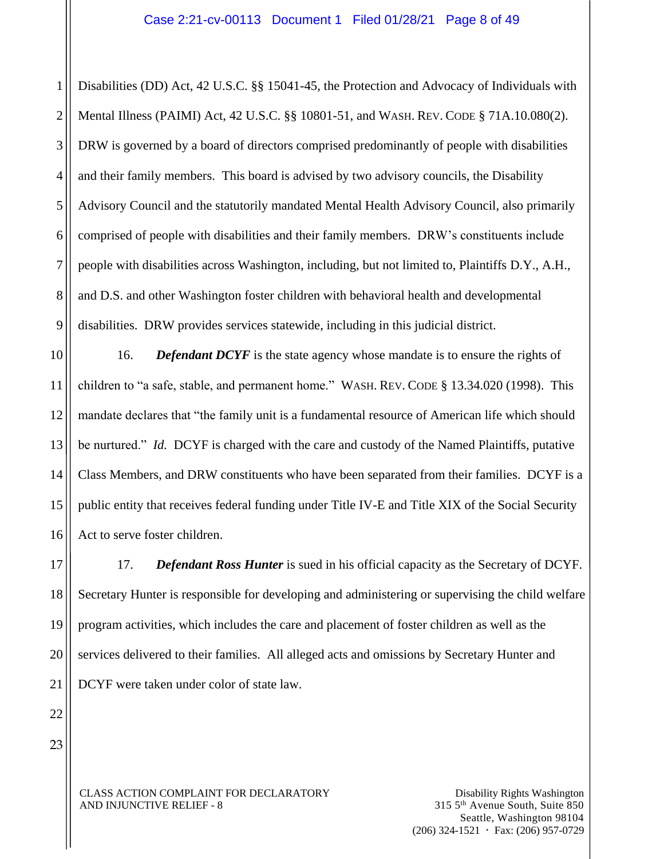1 2 3 4 5 6 7 8 9 Disabilities (DD) Act, 42 U.S.C. §§ 15041-45, the Protection and Advocacy of Individuals with Mental Illness (PAIMI) Act, 42 U.S.C. §§ 10801-51, and WASH. REV. CODE § 71A.10.080(2). DRW is governed by a board of directors comprised predominantly of people with disabilities and their family members. This board is advised by two advisory councils, the Disability Advisory Council and the statutorily mandated Mental Health Advisory Council, also primarily comprised of people with disabilities and their family members. DRW's constituents include people with disabilities across Washington, including, but not limited to, Plaintiffs D.Y., A.H., and D.S. and other Washington foster children with behavioral health and developmental disabilities. DRW provides services statewide, including in this judicial district.

10 11 12 13 14 15 16 16. **Defendant DCYF** is the state agency whose mandate is to ensure the rights of children to "a safe, stable, and permanent home." WASH. REV. CODE § 13.34.020 (1998). This mandate declares that "the family unit is a fundamental resource of American life which should be nurtured." *Id.* DCYF is charged with the care and custody of the Named Plaintiffs, putative Class Members, and DRW constituents who have been separated from their families. DCYF is a public entity that receives federal funding under Title IV-E and Title XIX of the Social Security Act to serve foster children.

17 18 19 20 17. *Defendant Ross Hunter* is sued in his official capacity as the Secretary of DCYF. Secretary Hunter is responsible for developing and administering or supervising the child welfare program activities, which includes the care and placement of foster children as well as the services delivered to their families. All alleged acts and omissions by Secretary Hunter and DCYF were taken under color of state law.

23

22

21

CLASS ACTION COMPLAINT FOR DECLARATORY AND INJUNCTIVE RELIEF - 8

Disability Rights Washington 315 5th Avenue South, Suite 850 Seattle, Washington 98104  $(206)$  324-1521  $\cdot$  Fax: (206) 957-0729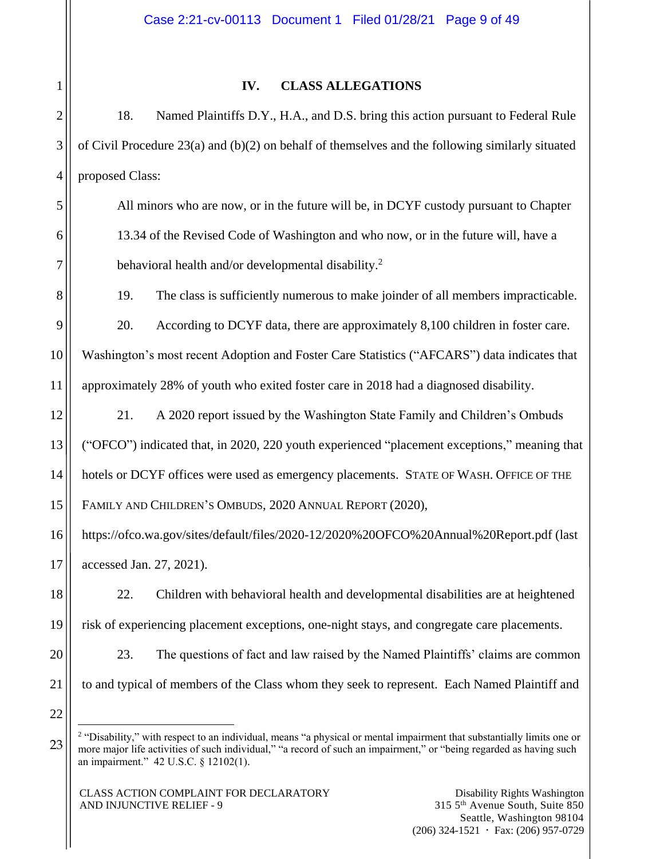# 2 3 4 5 6 7 8 9 10 11 12 13 14 15 16 17 18 19 20 21 22 23

1

# **IV. CLASS ALLEGATIONS**

18. Named Plaintiffs D.Y., H.A., and D.S. bring this action pursuant to Federal Rule of Civil Procedure 23(a) and  $(b)(2)$  on behalf of themselves and the following similarly situated proposed Class:

All minors who are now, or in the future will be, in DCYF custody pursuant to Chapter 13.34 of the Revised Code of Washington and who now, or in the future will, have a behavioral health and/or developmental disability.<sup>2</sup>

19. The class is sufficiently numerous to make joinder of all members impracticable.

20. According to DCYF data, there are approximately 8,100 children in foster care. Washington's most recent Adoption and Foster Care Statistics ("AFCARS") data indicates that approximately 28% of youth who exited foster care in 2018 had a diagnosed disability.

21. A 2020 report issued by the Washington State Family and Children's Ombuds ("OFCO") indicated that, in 2020, 220 youth experienced "placement exceptions," meaning that hotels or DCYF offices were used as emergency placements. STATE OF WASH. OFFICE OF THE FAMILY AND CHILDREN'S OMBUDS, 2020 ANNUAL REPORT (2020),

https://ofco.wa.gov/sites/default/files/2020-12/2020%20OFCO%20Annual%20Report.pdf (last accessed Jan. 27, 2021).

22. Children with behavioral health and developmental disabilities are at heightened risk of experiencing placement exceptions, one-night stays, and congregate care placements.

23. The questions of fact and law raised by the Named Plaintiffs' claims are common to and typical of members of the Class whom they seek to represent. Each Named Plaintiff and

 $\overline{a}$ <sup>2</sup> "Disability," with respect to an individual, means "a physical or mental impairment that substantially limits one or more major life activities of such individual," "a record of such an impairment," or "being regarded as having such an impairment." 42 U.S.C. § 12102(1).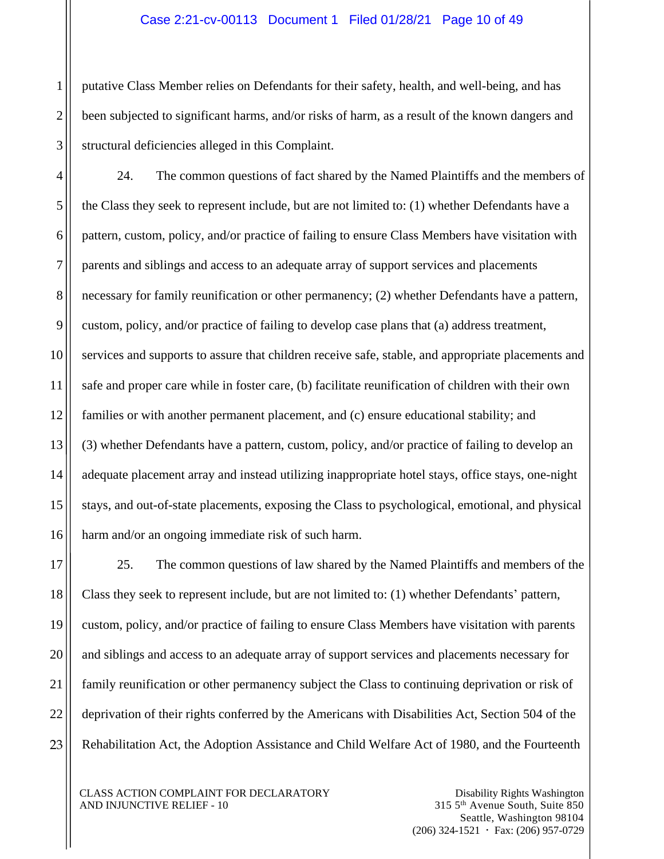#### Case 2:21-cv-00113 Document 1 Filed 01/28/21 Page 10 of 49

putative Class Member relies on Defendants for their safety, health, and well-being, and has been subjected to significant harms, and/or risks of harm, as a result of the known dangers and structural deficiencies alleged in this Complaint.

24. The common questions of fact shared by the Named Plaintiffs and the members of the Class they seek to represent include, but are not limited to: (1) whether Defendants have a pattern, custom, policy, and/or practice of failing to ensure Class Members have visitation with parents and siblings and access to an adequate array of support services and placements necessary for family reunification or other permanency; (2) whether Defendants have a pattern, custom, policy, and/or practice of failing to develop case plans that (a) address treatment, services and supports to assure that children receive safe, stable, and appropriate placements and safe and proper care while in foster care, (b) facilitate reunification of children with their own families or with another permanent placement, and (c) ensure educational stability; and (3) whether Defendants have a pattern, custom, policy, and/or practice of failing to develop an adequate placement array and instead utilizing inappropriate hotel stays, office stays, one-night stays, and out-of-state placements, exposing the Class to psychological, emotional, and physical harm and/or an ongoing immediate risk of such harm.

25. The common questions of law shared by the Named Plaintiffs and members of the Class they seek to represent include, but are not limited to: (1) whether Defendants' pattern, custom, policy, and/or practice of failing to ensure Class Members have visitation with parents and siblings and access to an adequate array of support services and placements necessary for family reunification or other permanency subject the Class to continuing deprivation or risk of deprivation of their rights conferred by the Americans with Disabilities Act, Section 504 of the Rehabilitation Act, the Adoption Assistance and Child Welfare Act of 1980, and the Fourteenth

CLASS ACTION COMPLAINT FOR DECLARATORY AND INJUNCTIVE RELIEF - 10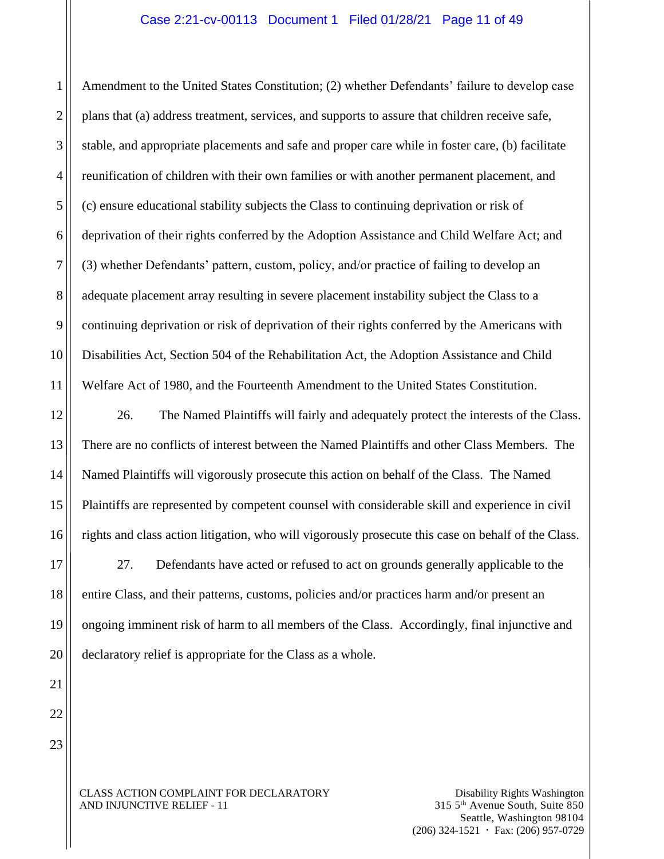#### Case 2:21-cv-00113 Document 1 Filed 01/28/21 Page 11 of 49

Amendment to the United States Constitution; (2) whether Defendants' failure to develop case plans that (a) address treatment, services, and supports to assure that children receive safe, stable, and appropriate placements and safe and proper care while in foster care, (b) facilitate reunification of children with their own families or with another permanent placement, and (c) ensure educational stability subjects the Class to continuing deprivation or risk of deprivation of their rights conferred by the Adoption Assistance and Child Welfare Act; and (3) whether Defendants' pattern, custom, policy, and/or practice of failing to develop an adequate placement array resulting in severe placement instability subject the Class to a continuing deprivation or risk of deprivation of their rights conferred by the Americans with Disabilities Act, Section 504 of the Rehabilitation Act, the Adoption Assistance and Child Welfare Act of 1980, and the Fourteenth Amendment to the United States Constitution.

26. The Named Plaintiffs will fairly and adequately protect the interests of the Class. There are no conflicts of interest between the Named Plaintiffs and other Class Members. The Named Plaintiffs will vigorously prosecute this action on behalf of the Class. The Named Plaintiffs are represented by competent counsel with considerable skill and experience in civil rights and class action litigation, who will vigorously prosecute this case on behalf of the Class.

27. Defendants have acted or refused to act on grounds generally applicable to the entire Class, and their patterns, customs, policies and/or practices harm and/or present an ongoing imminent risk of harm to all members of the Class. Accordingly, final injunctive and declaratory relief is appropriate for the Class as a whole.

22

#### CLASS ACTION COMPLAINT FOR DECLARATORY AND INJUNCTIVE RELIEF - 11

1

2

3

4

5

6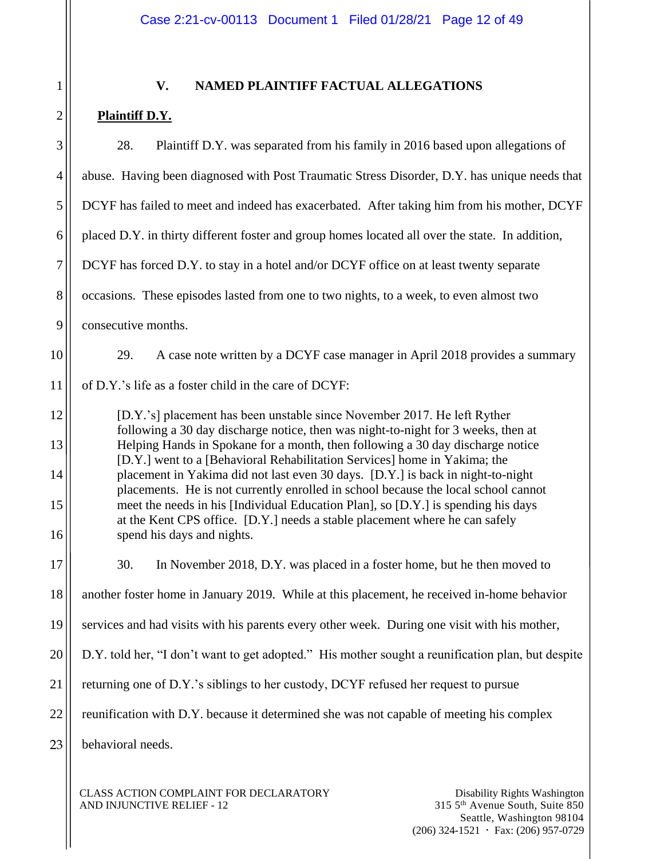| 1                    |  |
|----------------------|--|
|                      |  |
|                      |  |
| 1                    |  |
|                      |  |
| f                    |  |
|                      |  |
|                      |  |
|                      |  |
| 10                   |  |
| 11                   |  |
| 12                   |  |
| 13                   |  |
| $1\overline{ }$<br>1 |  |
| 15                   |  |
| l 6                  |  |
| ľ                    |  |
| 18                   |  |
| 19                   |  |
| $20^{\circ}$         |  |
| $\overline{21}$      |  |
|                      |  |
|                      |  |

# **V. NAMED PLAINTIFF FACTUAL ALLEGATIONS**

# **Plaintiff D.Y.**

| Plaintiff D.Y. was separated from his family in 2016 based upon allegations of<br>28.                                                                                                                                                                                                                                                                                                                                                                                                                                                                                                                                                                                                                   |  |  |
|---------------------------------------------------------------------------------------------------------------------------------------------------------------------------------------------------------------------------------------------------------------------------------------------------------------------------------------------------------------------------------------------------------------------------------------------------------------------------------------------------------------------------------------------------------------------------------------------------------------------------------------------------------------------------------------------------------|--|--|
| abuse. Having been diagnosed with Post Traumatic Stress Disorder, D.Y. has unique needs that                                                                                                                                                                                                                                                                                                                                                                                                                                                                                                                                                                                                            |  |  |
| DCYF has failed to meet and indeed has exacerbated. After taking him from his mother, DCYF                                                                                                                                                                                                                                                                                                                                                                                                                                                                                                                                                                                                              |  |  |
| placed D.Y. in thirty different foster and group homes located all over the state. In addition,                                                                                                                                                                                                                                                                                                                                                                                                                                                                                                                                                                                                         |  |  |
| DCYF has forced D.Y. to stay in a hotel and/or DCYF office on at least twenty separate                                                                                                                                                                                                                                                                                                                                                                                                                                                                                                                                                                                                                  |  |  |
| occasions. These episodes lasted from one to two nights, to a week, to even almost two                                                                                                                                                                                                                                                                                                                                                                                                                                                                                                                                                                                                                  |  |  |
| consecutive months.                                                                                                                                                                                                                                                                                                                                                                                                                                                                                                                                                                                                                                                                                     |  |  |
| 29.<br>A case note written by a DCYF case manager in April 2018 provides a summary                                                                                                                                                                                                                                                                                                                                                                                                                                                                                                                                                                                                                      |  |  |
| of D.Y.'s life as a foster child in the care of DCYF:                                                                                                                                                                                                                                                                                                                                                                                                                                                                                                                                                                                                                                                   |  |  |
| [D.Y.'s] placement has been unstable since November 2017. He left Ryther<br>following a 30 day discharge notice, then was night-to-night for 3 weeks, then at<br>Helping Hands in Spokane for a month, then following a 30 day discharge notice<br>[D.Y.] went to a [Behavioral Rehabilitation Services] home in Yakima; the<br>placement in Yakima did not last even 30 days. [D.Y.] is back in night-to-night<br>placements. He is not currently enrolled in school because the local school cannot<br>meet the needs in his [Individual Education Plan], so [D.Y.] is spending his days<br>at the Kent CPS office. [D.Y.] needs a stable placement where he can safely<br>spend his days and nights. |  |  |
| 30.<br>In November 2018, D.Y. was placed in a foster home, but he then moved to                                                                                                                                                                                                                                                                                                                                                                                                                                                                                                                                                                                                                         |  |  |
| another foster home in January 2019. While at this placement, he received in-home behavior                                                                                                                                                                                                                                                                                                                                                                                                                                                                                                                                                                                                              |  |  |
| services and had visits with his parents every other week. During one visit with his mother,                                                                                                                                                                                                                                                                                                                                                                                                                                                                                                                                                                                                            |  |  |
| D.Y. told her, "I don't want to get adopted." His mother sought a reunification plan, but despite                                                                                                                                                                                                                                                                                                                                                                                                                                                                                                                                                                                                       |  |  |
| returning one of D.Y.'s siblings to her custody, DCYF refused her request to pursue                                                                                                                                                                                                                                                                                                                                                                                                                                                                                                                                                                                                                     |  |  |
| reunification with D.Y. because it determined she was not capable of meeting his complex                                                                                                                                                                                                                                                                                                                                                                                                                                                                                                                                                                                                                |  |  |
| behavioral needs.                                                                                                                                                                                                                                                                                                                                                                                                                                                                                                                                                                                                                                                                                       |  |  |
|                                                                                                                                                                                                                                                                                                                                                                                                                                                                                                                                                                                                                                                                                                         |  |  |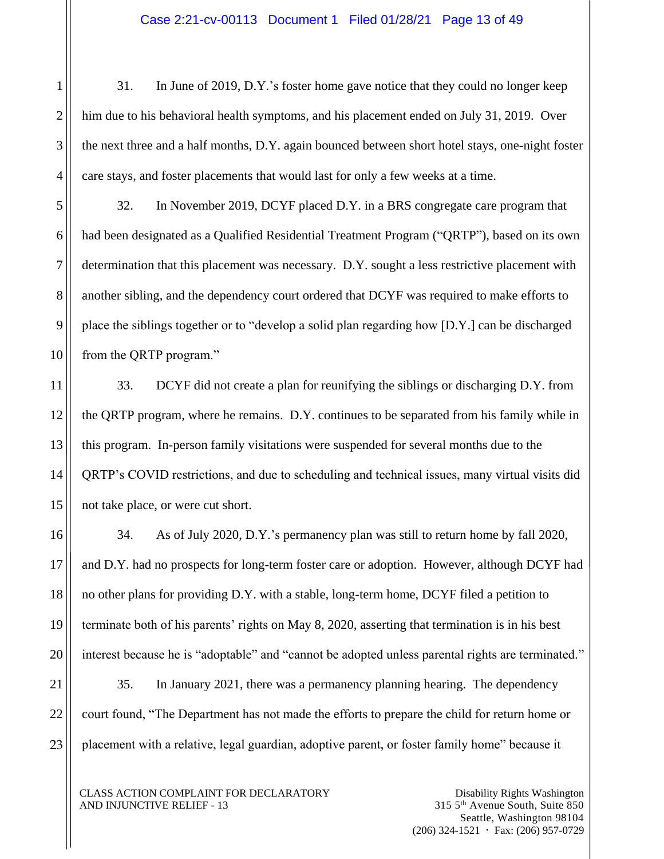31. In June of 2019, D.Y.'s foster home gave notice that they could no longer keep him due to his behavioral health symptoms, and his placement ended on July 31, 2019. Over the next three and a half months, D.Y. again bounced between short hotel stays, one-night foster care stays, and foster placements that would last for only a few weeks at a time.

32. In November 2019, DCYF placed D.Y. in a BRS congregate care program that had been designated as a Qualified Residential Treatment Program ("QRTP"), based on its own determination that this placement was necessary. D.Y. sought a less restrictive placement with another sibling, and the dependency court ordered that DCYF was required to make efforts to place the siblings together or to "develop a solid plan regarding how [D.Y.] can be discharged from the QRTP program."

33. DCYF did not create a plan for reunifying the siblings or discharging D.Y. from the QRTP program, where he remains. D.Y. continues to be separated from his family while in this program. In-person family visitations were suspended for several months due to the QRTP's COVID restrictions, and due to scheduling and technical issues, many virtual visits did not take place, or were cut short.

34. As of July 2020, D.Y.'s permanency plan was still to return home by fall 2020, and D.Y. had no prospects for long-term foster care or adoption. However, although DCYF had no other plans for providing D.Y. with a stable, long-term home, DCYF filed a petition to terminate both of his parents' rights on May 8, 2020, asserting that termination is in his best interest because he is "adoptable" and "cannot be adopted unless parental rights are terminated." 35. In January 2021, there was a permanency planning hearing. The dependency

court found, "The Department has not made the efforts to prepare the child for return home or placement with a relative, legal guardian, adoptive parent, or foster family home" because it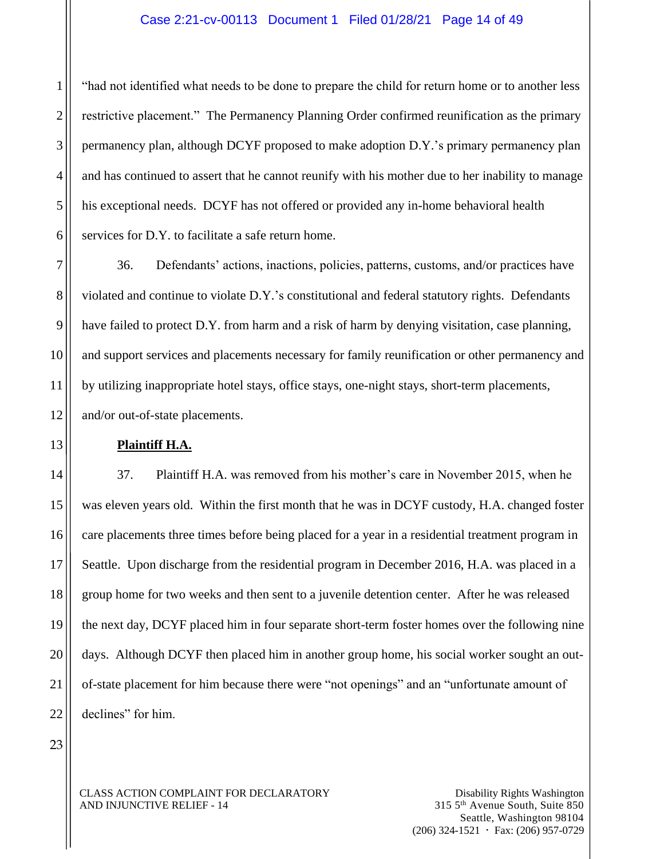#### Case 2:21-cv-00113 Document 1 Filed 01/28/21 Page 14 of 49

"had not identified what needs to be done to prepare the child for return home or to another less restrictive placement." The Permanency Planning Order confirmed reunification as the primary permanency plan, although DCYF proposed to make adoption D.Y.'s primary permanency plan and has continued to assert that he cannot reunify with his mother due to her inability to manage his exceptional needs. DCYF has not offered or provided any in-home behavioral health services for D.Y. to facilitate a safe return home.

36. Defendants' actions, inactions, policies, patterns, customs, and/or practices have violated and continue to violate D.Y.'s constitutional and federal statutory rights. Defendants have failed to protect D.Y. from harm and a risk of harm by denying visitation, case planning, and support services and placements necessary for family reunification or other permanency and by utilizing inappropriate hotel stays, office stays, one-night stays, short-term placements, and/or out-of-state placements.

#### **Plaintiff H.A.**

37. Plaintiff H.A. was removed from his mother's care in November 2015, when he was eleven years old. Within the first month that he was in DCYF custody, H.A. changed foster care placements three times before being placed for a year in a residential treatment program in Seattle. Upon discharge from the residential program in December 2016, H.A. was placed in a group home for two weeks and then sent to a juvenile detention center. After he was released the next day, DCYF placed him in four separate short-term foster homes over the following nine days. Although DCYF then placed him in another group home, his social worker sought an outof-state placement for him because there were "not openings" and an "unfortunate amount of declines" for him.

23

1

2

3

4

5

6

7

8

9

10

11

12

13

14

15

16

17

18

19

20

21

22

CLASS ACTION COMPLAINT FOR DECLARATORY AND INJUNCTIVE RELIEF - 14

Disability Rights Washington 315 5th Avenue South, Suite 850 Seattle, Washington 98104  $(206)$  324-1521  $\cdot$  Fax: (206) 957-0729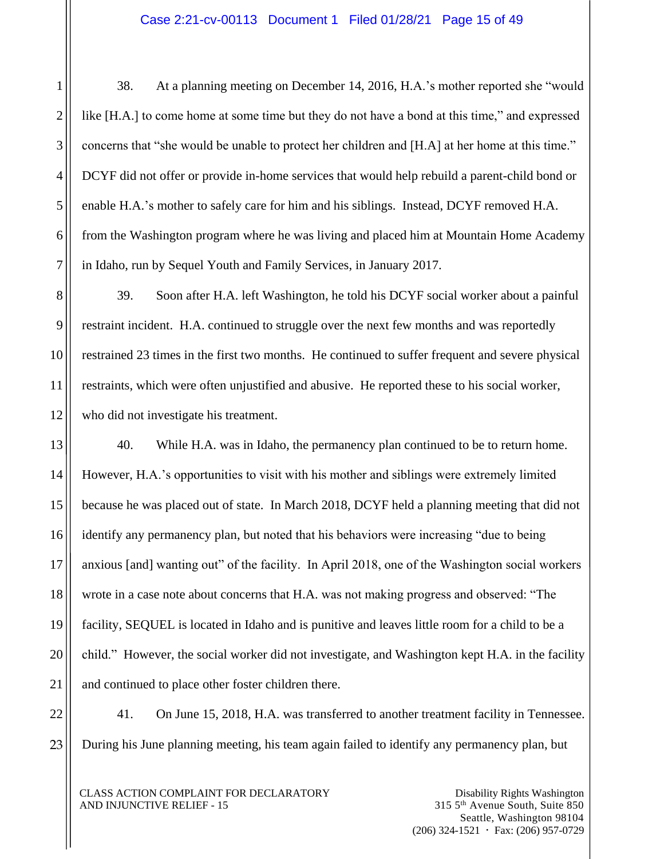38. At a planning meeting on December 14, 2016, H.A.'s mother reported she "would like [H.A.] to come home at some time but they do not have a bond at this time," and expressed concerns that "she would be unable to protect her children and [H.A] at her home at this time." DCYF did not offer or provide in-home services that would help rebuild a parent-child bond or enable H.A.'s mother to safely care for him and his siblings. Instead, DCYF removed H.A. from the Washington program where he was living and placed him at Mountain Home Academy in Idaho, run by Sequel Youth and Family Services, in January 2017.

39. Soon after H.A. left Washington, he told his DCYF social worker about a painful restraint incident. H.A. continued to struggle over the next few months and was reportedly restrained 23 times in the first two months. He continued to suffer frequent and severe physical restraints, which were often unjustified and abusive. He reported these to his social worker, who did not investigate his treatment.

40. While H.A. was in Idaho, the permanency plan continued to be to return home. However, H.A.'s opportunities to visit with his mother and siblings were extremely limited because he was placed out of state. In March 2018, DCYF held a planning meeting that did not identify any permanency plan, but noted that his behaviors were increasing "due to being anxious [and] wanting out" of the facility. In April 2018, one of the Washington social workers wrote in a case note about concerns that H.A. was not making progress and observed: "The facility, SEQUEL is located in Idaho and is punitive and leaves little room for a child to be a child." However, the social worker did not investigate, and Washington kept H.A. in the facility and continued to place other foster children there.

41. On June 15, 2018, H.A. was transferred to another treatment facility in Tennessee. During his June planning meeting, his team again failed to identify any permanency plan, but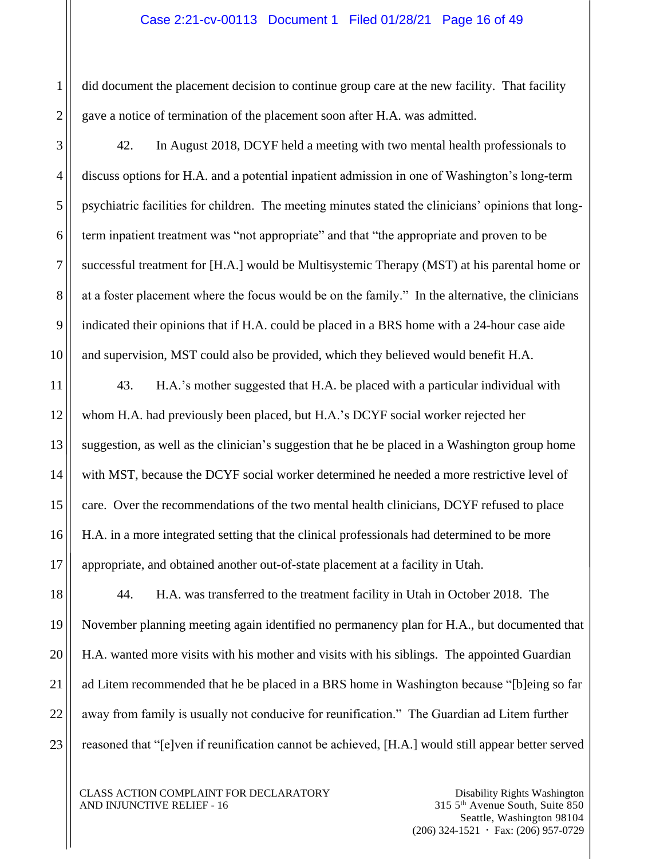#### Case 2:21-cv-00113 Document 1 Filed 01/28/21 Page 16 of 49

did document the placement decision to continue group care at the new facility. That facility gave a notice of termination of the placement soon after H.A. was admitted.

42. In August 2018, DCYF held a meeting with two mental health professionals to discuss options for H.A. and a potential inpatient admission in one of Washington's long-term psychiatric facilities for children. The meeting minutes stated the clinicians' opinions that longterm inpatient treatment was "not appropriate" and that "the appropriate and proven to be successful treatment for [H.A.] would be Multisystemic Therapy (MST) at his parental home or at a foster placement where the focus would be on the family." In the alternative, the clinicians indicated their opinions that if H.A. could be placed in a BRS home with a 24-hour case aide and supervision, MST could also be provided, which they believed would benefit H.A.

43. H.A.'s mother suggested that H.A. be placed with a particular individual with whom H.A. had previously been placed, but H.A.'s DCYF social worker rejected her suggestion, as well as the clinician's suggestion that he be placed in a Washington group home with MST, because the DCYF social worker determined he needed a more restrictive level of care. Over the recommendations of the two mental health clinicians, DCYF refused to place H.A. in a more integrated setting that the clinical professionals had determined to be more appropriate, and obtained another out-of-state placement at a facility in Utah.

44. H.A. was transferred to the treatment facility in Utah in October 2018. The November planning meeting again identified no permanency plan for H.A., but documented that H.A. wanted more visits with his mother and visits with his siblings. The appointed Guardian ad Litem recommended that he be placed in a BRS home in Washington because "[b]eing so far away from family is usually not conducive for reunification." The Guardian ad Litem further reasoned that "[e]ven if reunification cannot be achieved, [H.A.] would still appear better served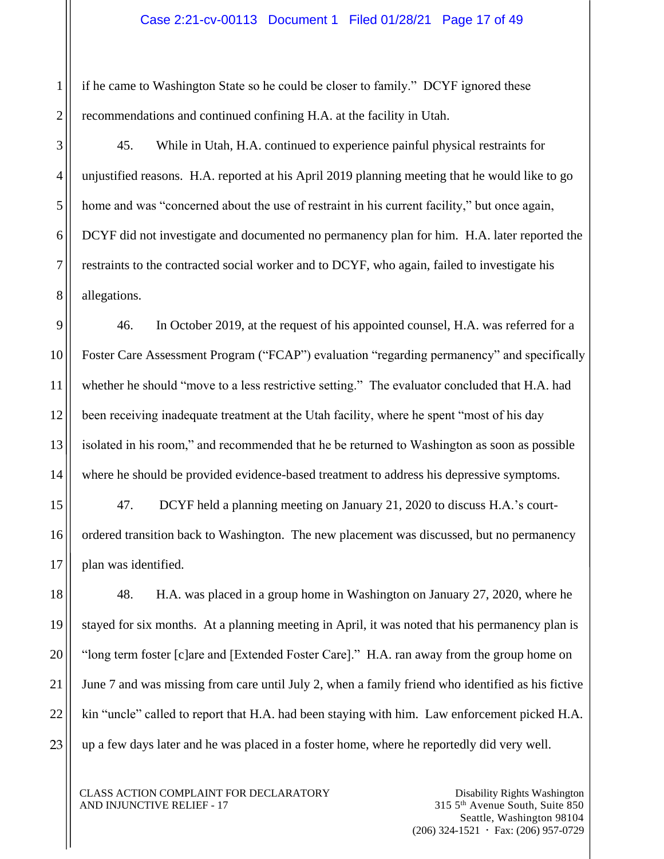if he came to Washington State so he could be closer to family." DCYF ignored these recommendations and continued confining H.A. at the facility in Utah.

45. While in Utah, H.A. continued to experience painful physical restraints for unjustified reasons. H.A. reported at his April 2019 planning meeting that he would like to go home and was "concerned about the use of restraint in his current facility," but once again, DCYF did not investigate and documented no permanency plan for him. H.A. later reported the restraints to the contracted social worker and to DCYF, who again, failed to investigate his allegations.

46. In October 2019, at the request of his appointed counsel, H.A. was referred for a Foster Care Assessment Program ("FCAP") evaluation "regarding permanency" and specifically whether he should "move to a less restrictive setting." The evaluator concluded that H.A. had been receiving inadequate treatment at the Utah facility, where he spent "most of his day isolated in his room," and recommended that he be returned to Washington as soon as possible where he should be provided evidence-based treatment to address his depressive symptoms.

47. DCYF held a planning meeting on January 21, 2020 to discuss H.A.'s courtordered transition back to Washington. The new placement was discussed, but no permanency plan was identified.

48. H.A. was placed in a group home in Washington on January 27, 2020, where he stayed for six months. At a planning meeting in April, it was noted that his permanency plan is "long term foster [c]are and [Extended Foster Care]." H.A. ran away from the group home on June 7 and was missing from care until July 2, when a family friend who identified as his fictive kin "uncle" called to report that H.A. had been staying with him. Law enforcement picked H.A. up a few days later and he was placed in a foster home, where he reportedly did very well.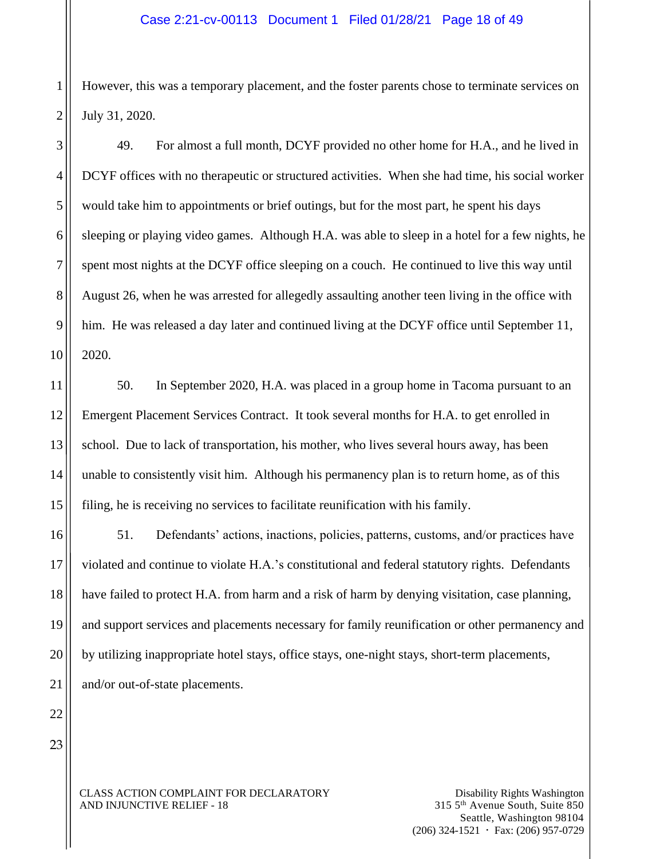However, this was a temporary placement, and the foster parents chose to terminate services on July 31, 2020.

49. For almost a full month, DCYF provided no other home for H.A., and he lived in DCYF offices with no therapeutic or structured activities. When she had time, his social worker would take him to appointments or brief outings, but for the most part, he spent his days sleeping or playing video games. Although H.A. was able to sleep in a hotel for a few nights, he spent most nights at the DCYF office sleeping on a couch. He continued to live this way until August 26, when he was arrested for allegedly assaulting another teen living in the office with him. He was released a day later and continued living at the DCYF office until September 11, 2020.

50. In September 2020, H.A. was placed in a group home in Tacoma pursuant to an Emergent Placement Services Contract. It took several months for H.A. to get enrolled in school. Due to lack of transportation, his mother, who lives several hours away, has been unable to consistently visit him. Although his permanency plan is to return home, as of this filing, he is receiving no services to facilitate reunification with his family.

51. Defendants' actions, inactions, policies, patterns, customs, and/or practices have violated and continue to violate H.A.'s constitutional and federal statutory rights. Defendants have failed to protect H.A. from harm and a risk of harm by denying visitation, case planning, and support services and placements necessary for family reunification or other permanency and by utilizing inappropriate hotel stays, office stays, one-night stays, short-term placements, and/or out-of-state placements.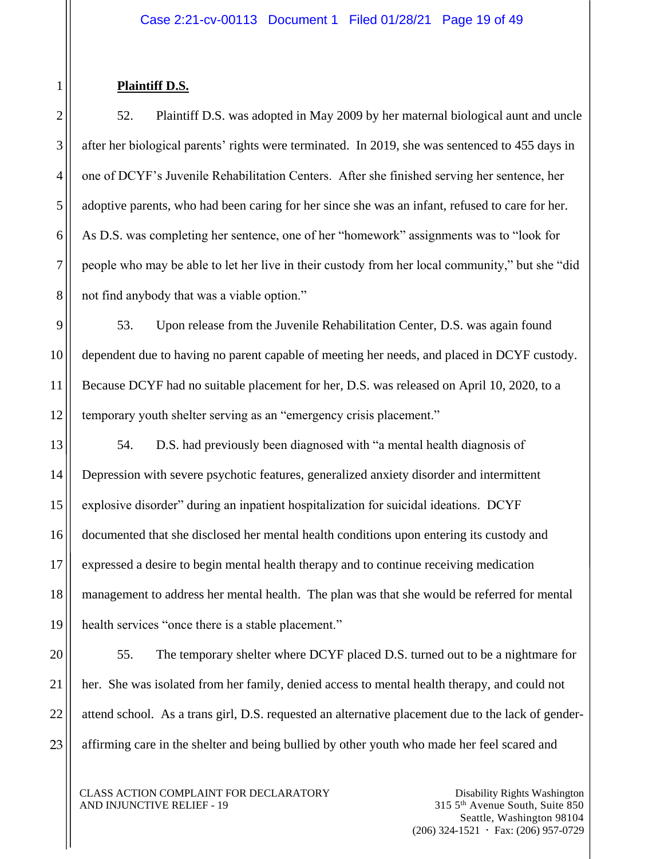# **Plaintiff D.S.**

52. Plaintiff D.S. was adopted in May 2009 by her maternal biological aunt and uncle after her biological parents' rights were terminated. In 2019, she was sentenced to 455 days in one of DCYF's Juvenile Rehabilitation Centers. After she finished serving her sentence, her adoptive parents, who had been caring for her since she was an infant, refused to care for her. As D.S. was completing her sentence, one of her "homework" assignments was to "look for people who may be able to let her live in their custody from her local community," but she "did not find anybody that was a viable option."

53. Upon release from the Juvenile Rehabilitation Center, D.S. was again found dependent due to having no parent capable of meeting her needs, and placed in DCYF custody. Because DCYF had no suitable placement for her, D.S. was released on April 10, 2020, to a temporary youth shelter serving as an "emergency crisis placement."

54. D.S. had previously been diagnosed with "a mental health diagnosis of Depression with severe psychotic features, generalized anxiety disorder and intermittent explosive disorder" during an inpatient hospitalization for suicidal ideations. DCYF documented that she disclosed her mental health conditions upon entering its custody and expressed a desire to begin mental health therapy and to continue receiving medication management to address her mental health. The plan was that she would be referred for mental health services "once there is a stable placement."

55. The temporary shelter where DCYF placed D.S. turned out to be a nightmare for her. She was isolated from her family, denied access to mental health therapy, and could not attend school. As a trans girl, D.S. requested an alternative placement due to the lack of genderaffirming care in the shelter and being bullied by other youth who made her feel scared and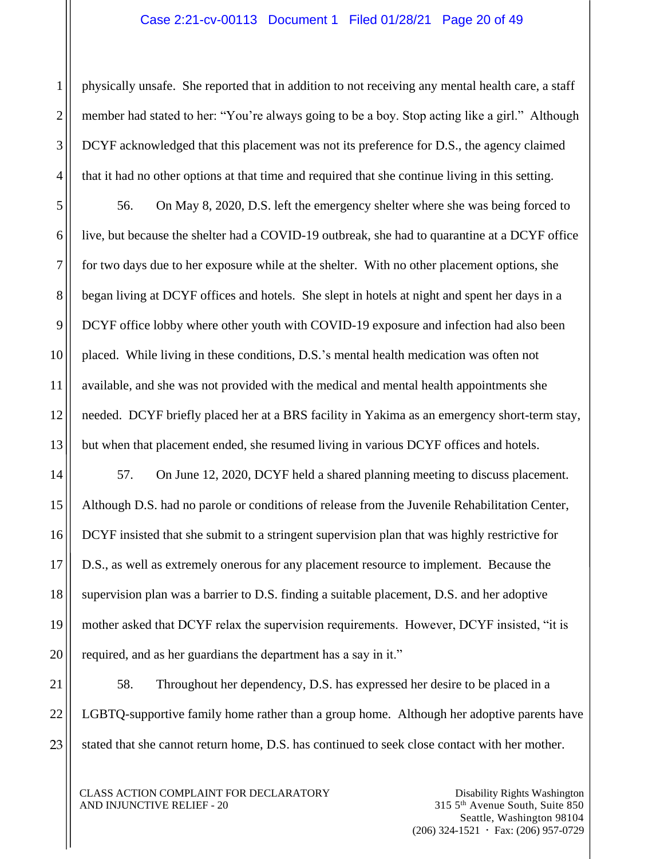#### Case 2:21-cv-00113 Document 1 Filed 01/28/21 Page 20 of 49

physically unsafe. She reported that in addition to not receiving any mental health care, a staff member had stated to her: "You're always going to be a boy. Stop acting like a girl." Although DCYF acknowledged that this placement was not its preference for D.S., the agency claimed that it had no other options at that time and required that she continue living in this setting.

56. On May 8, 2020, D.S. left the emergency shelter where she was being forced to live, but because the shelter had a COVID-19 outbreak, she had to quarantine at a DCYF office for two days due to her exposure while at the shelter. With no other placement options, she began living at DCYF offices and hotels. She slept in hotels at night and spent her days in a DCYF office lobby where other youth with COVID-19 exposure and infection had also been placed. While living in these conditions, D.S.'s mental health medication was often not available, and she was not provided with the medical and mental health appointments she needed. DCYF briefly placed her at a BRS facility in Yakima as an emergency short-term stay, but when that placement ended, she resumed living in various DCYF offices and hotels.

57. On June 12, 2020, DCYF held a shared planning meeting to discuss placement. Although D.S. had no parole or conditions of release from the Juvenile Rehabilitation Center, DCYF insisted that she submit to a stringent supervision plan that was highly restrictive for D.S., as well as extremely onerous for any placement resource to implement. Because the supervision plan was a barrier to D.S. finding a suitable placement, D.S. and her adoptive mother asked that DCYF relax the supervision requirements. However, DCYF insisted, "it is required, and as her guardians the department has a say in it."

58. Throughout her dependency, D.S. has expressed her desire to be placed in a LGBTQ-supportive family home rather than a group home. Although her adoptive parents have stated that she cannot return home, D.S. has continued to seek close contact with her mother.

CLASS ACTION COMPLAINT FOR DECLARATORY AND INJUNCTIVE RELIEF - 20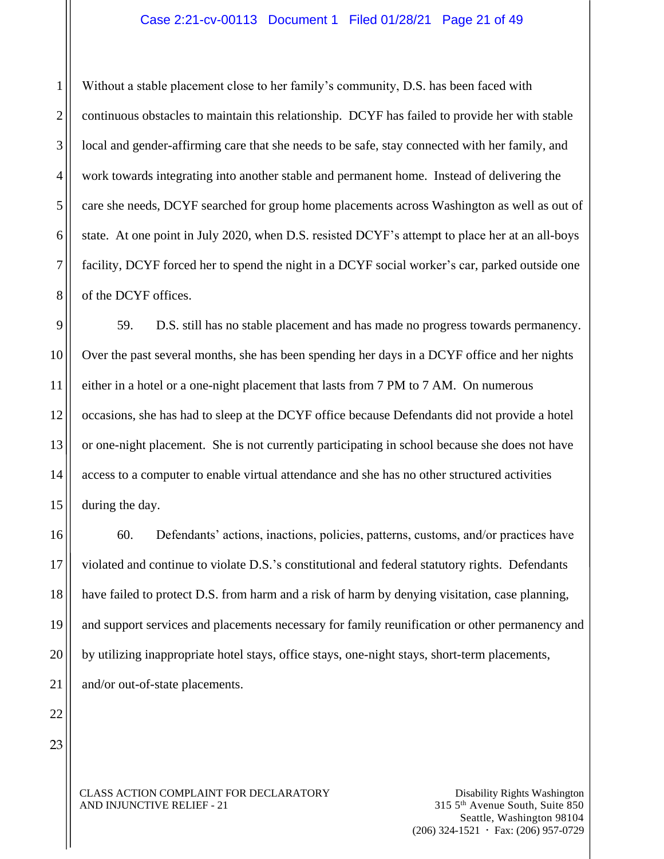#### Case 2:21-cv-00113 Document 1 Filed 01/28/21 Page 21 of 49

Without a stable placement close to her family's community, D.S. has been faced with continuous obstacles to maintain this relationship. DCYF has failed to provide her with stable local and gender-affirming care that she needs to be safe, stay connected with her family, and work towards integrating into another stable and permanent home. Instead of delivering the care she needs, DCYF searched for group home placements across Washington as well as out of state. At one point in July 2020, when D.S. resisted DCYF's attempt to place her at an all-boys facility, DCYF forced her to spend the night in a DCYF social worker's car, parked outside one of the DCYF offices.

59. D.S. still has no stable placement and has made no progress towards permanency. Over the past several months, she has been spending her days in a DCYF office and her nights either in a hotel or a one-night placement that lasts from 7 PM to 7 AM. On numerous occasions, she has had to sleep at the DCYF office because Defendants did not provide a hotel or one-night placement. She is not currently participating in school because she does not have access to a computer to enable virtual attendance and she has no other structured activities during the day.

60. Defendants' actions, inactions, policies, patterns, customs, and/or practices have violated and continue to violate D.S.'s constitutional and federal statutory rights. Defendants have failed to protect D.S. from harm and a risk of harm by denying visitation, case planning, and support services and placements necessary for family reunification or other permanency and by utilizing inappropriate hotel stays, office stays, one-night stays, short-term placements, and/or out-of-state placements.

CLASS ACTION COMPLAINT FOR DECLARATORY AND INJUNCTIVE RELIEF - 21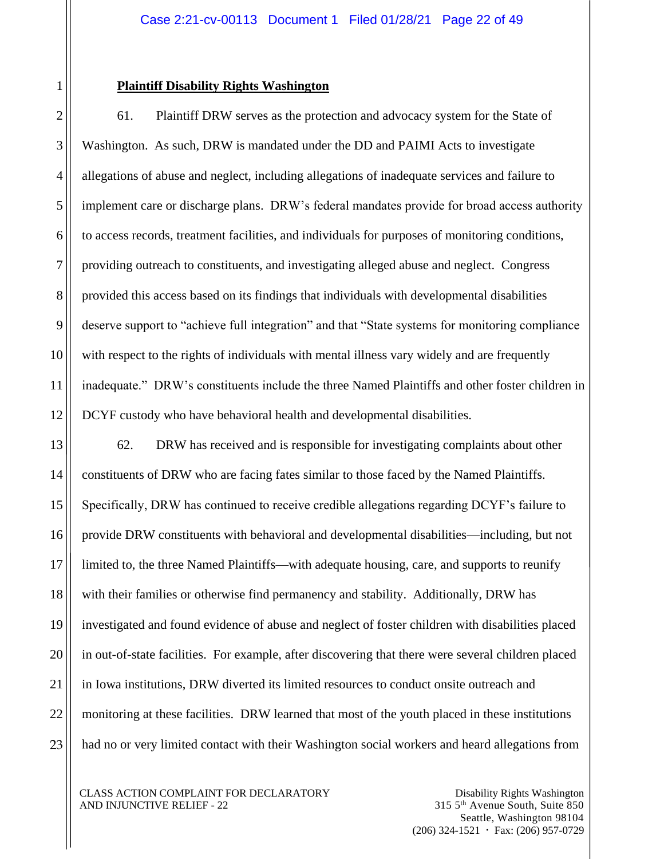#### **Plaintiff Disability Rights Washington**

61. Plaintiff DRW serves as the protection and advocacy system for the State of Washington. As such, DRW is mandated under the DD and PAIMI Acts to investigate allegations of abuse and neglect, including allegations of inadequate services and failure to implement care or discharge plans. DRW's federal mandates provide for broad access authority to access records, treatment facilities, and individuals for purposes of monitoring conditions, providing outreach to constituents, and investigating alleged abuse and neglect. Congress provided this access based on its findings that individuals with developmental disabilities deserve support to "achieve full integration" and that "State systems for monitoring compliance with respect to the rights of individuals with mental illness vary widely and are frequently inadequate." DRW's constituents include the three Named Plaintiffs and other foster children in DCYF custody who have behavioral health and developmental disabilities.

62. DRW has received and is responsible for investigating complaints about other constituents of DRW who are facing fates similar to those faced by the Named Plaintiffs. Specifically, DRW has continued to receive credible allegations regarding DCYF's failure to provide DRW constituents with behavioral and developmental disabilities—including, but not limited to, the three Named Plaintiffs—with adequate housing, care, and supports to reunify with their families or otherwise find permanency and stability. Additionally, DRW has investigated and found evidence of abuse and neglect of foster children with disabilities placed in out-of-state facilities. For example, after discovering that there were several children placed in Iowa institutions, DRW diverted its limited resources to conduct onsite outreach and monitoring at these facilities. DRW learned that most of the youth placed in these institutions had no or very limited contact with their Washington social workers and heard allegations from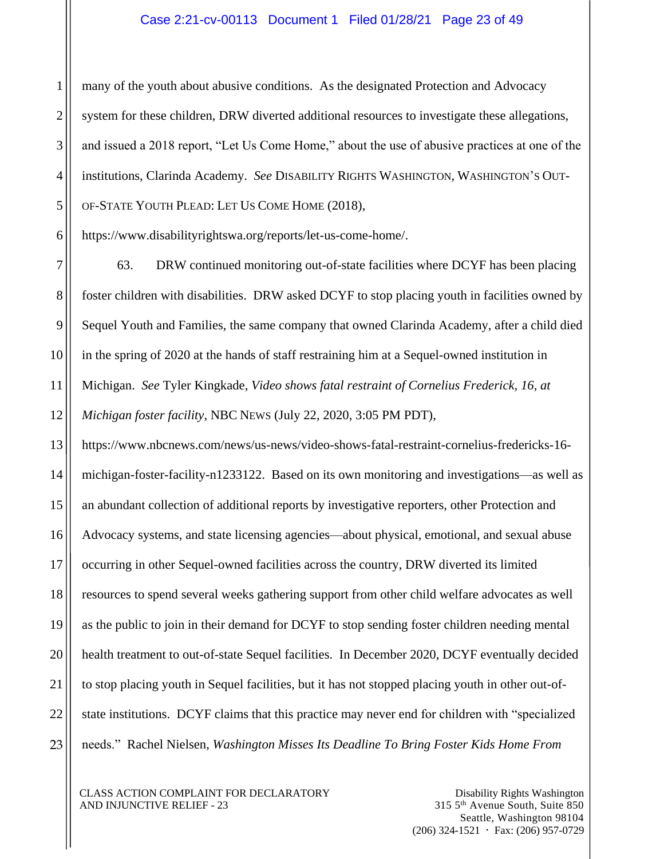#### Case 2:21-cv-00113 Document 1 Filed 01/28/21 Page 23 of 49

many of the youth about abusive conditions. As the designated Protection and Advocacy system for these children, DRW diverted additional resources to investigate these allegations, and issued a 2018 report, "Let Us Come Home," about the use of abusive practices at one of the institutions, Clarinda Academy. *See* DISABILITY RIGHTS WASHINGTON, WASHINGTON'S OUT-OF-STATE YOUTH PLEAD: LET US COME HOME (2018),

https://www.disabilityrightswa.org/reports/let-us-come-home/.

63. DRW continued monitoring out-of-state facilities where DCYF has been placing foster children with disabilities. DRW asked DCYF to stop placing youth in facilities owned by Sequel Youth and Families, the same company that owned Clarinda Academy, after a child died in the spring of 2020 at the hands of staff restraining him at a Sequel-owned institution in Michigan. *See* Tyler Kingkade, *Video shows fatal restraint of Cornelius Frederick, 16, at Michigan foster facility*, NBC NEWS (July 22, 2020, 3:05 PM PDT),

https://www.nbcnews.com/news/us-news/video-shows-fatal-restraint-cornelius-fredericks-16 michigan-foster-facility-n1233122. Based on its own monitoring and investigations—as well as an abundant collection of additional reports by investigative reporters, other Protection and Advocacy systems, and state licensing agencies—about physical, emotional, and sexual abuse occurring in other Sequel-owned facilities across the country, DRW diverted its limited resources to spend several weeks gathering support from other child welfare advocates as well as the public to join in their demand for DCYF to stop sending foster children needing mental health treatment to out-of-state Sequel facilities. In December 2020, DCYF eventually decided to stop placing youth in Sequel facilities, but it has not stopped placing youth in other out-ofstate institutions. DCYF claims that this practice may never end for children with "specialized needs." Rachel Nielsen, *Washington Misses Its Deadline To Bring Foster Kids Home From* 

CLASS ACTION COMPLAINT FOR DECLARATORY AND INJUNCTIVE RELIEF - 23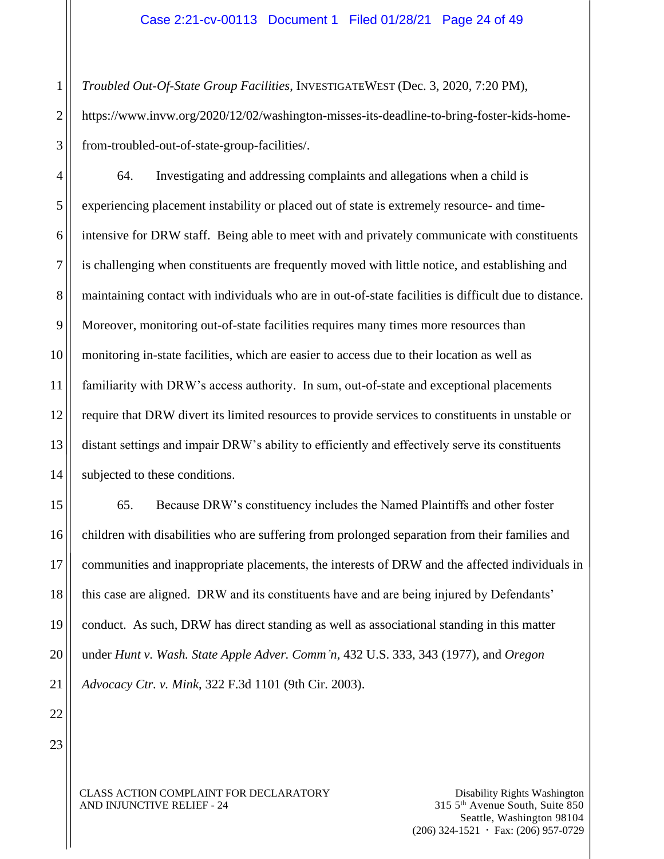*Troubled Out-Of-State Group Facilities*, INVESTIGATEWEST (Dec. 3, 2020, 7:20 PM), https://www.invw.org/2020/12/02/washington-misses-its-deadline-to-bring-foster-kids-homefrom-troubled-out-of-state-group-facilities/.

64. Investigating and addressing complaints and allegations when a child is experiencing placement instability or placed out of state is extremely resource- and timeintensive for DRW staff. Being able to meet with and privately communicate with constituents is challenging when constituents are frequently moved with little notice, and establishing and maintaining contact with individuals who are in out-of-state facilities is difficult due to distance. Moreover, monitoring out-of-state facilities requires many times more resources than monitoring in-state facilities, which are easier to access due to their location as well as familiarity with DRW's access authority. In sum, out-of-state and exceptional placements require that DRW divert its limited resources to provide services to constituents in unstable or distant settings and impair DRW's ability to efficiently and effectively serve its constituents subjected to these conditions.

65. Because DRW's constituency includes the Named Plaintiffs and other foster children with disabilities who are suffering from prolonged separation from their families and communities and inappropriate placements, the interests of DRW and the affected individuals in this case are aligned. DRW and its constituents have and are being injured by Defendants' conduct. As such, DRW has direct standing as well as associational standing in this matter under *Hunt v. Wash. State Apple Adver. Comm'n,* 432 U.S. 333, 343 (1977), and *Oregon Advocacy Ctr. v. Mink*, 322 F.3d 1101 (9th Cir. 2003).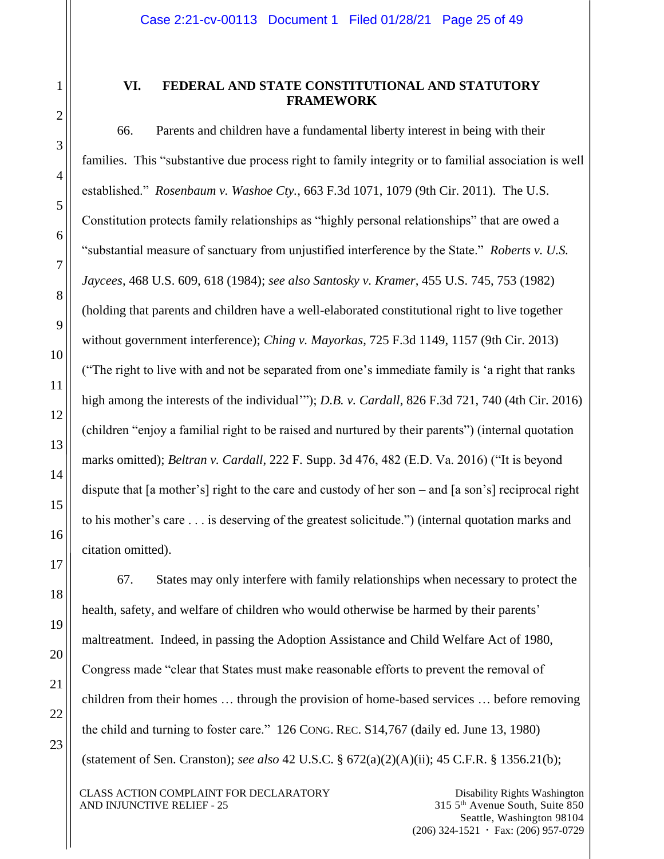# **VI. FEDERAL AND STATE CONSTITUTIONAL AND STATUTORY FRAMEWORK**

66. Parents and children have a fundamental liberty interest in being with their families. This "substantive due process right to family integrity or to familial association is well established." *Rosenbaum v. Washoe Cty.*, 663 F.3d 1071, 1079 (9th Cir. 2011). The U.S. Constitution protects family relationships as "highly personal relationships" that are owed a "substantial measure of sanctuary from unjustified interference by the State." *Roberts v. U.S. Jaycees*, 468 U.S. 609, 618 (1984); *see also Santosky v. Kramer*, 455 U.S. 745, 753 (1982) (holding that parents and children have a well-elaborated constitutional right to live together without government interference); *Ching v. Mayorkas*, 725 F.3d 1149, 1157 (9th Cir. 2013) ("The right to live with and not be separated from one's immediate family is 'a right that ranks high among the interests of the individual'"); *D.B. v. Cardall*, 826 F.3d 721, 740 (4th Cir. 2016) (children "enjoy a familial right to be raised and nurtured by their parents") (internal quotation marks omitted); *Beltran v. Cardall*, 222 F. Supp. 3d 476, 482 (E.D. Va. 2016) ("It is beyond dispute that [a mother's] right to the care and custody of her son – and [a son's] reciprocal right to his mother's care . . . is deserving of the greatest solicitude.") (internal quotation marks and citation omitted).

67. States may only interfere with family relationships when necessary to protect the health, safety, and welfare of children who would otherwise be harmed by their parents' maltreatment. Indeed, in passing the Adoption Assistance and Child Welfare Act of 1980, Congress made "clear that States must make reasonable efforts to prevent the removal of children from their homes … through the provision of home-based services … before removing the child and turning to foster care." 126 CONG. REC. S14,767 (daily ed. June 13, 1980) (statement of Sen. Cranston); *see also* 42 U.S.C. § 672(a)(2)(A)(ii); 45 C.F.R. § 1356.21(b);

CLASS ACTION COMPLAINT FOR DECLARATORY AND INJUNCTIVE RELIEF - 25

Disability Rights Washington 315 5th Avenue South, Suite 850 Seattle, Washington 98104  $(206)$  324-1521  $\cdot$  Fax: (206) 957-0729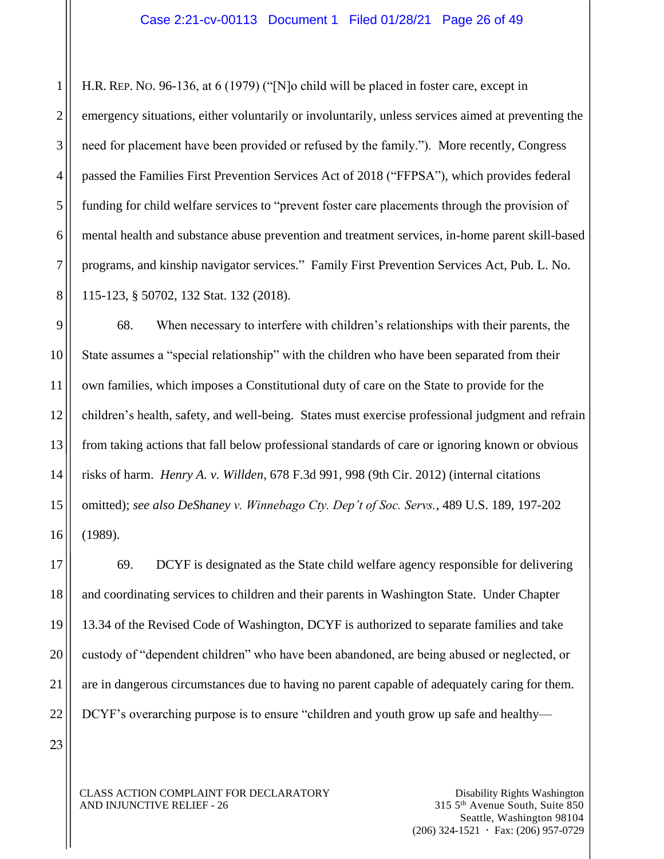H.R. REP. NO. 96-136, at 6 (1979) ("[N]o child will be placed in foster care, except in emergency situations, either voluntarily or involuntarily, unless services aimed at preventing the need for placement have been provided or refused by the family."). More recently, Congress passed the Families First Prevention Services Act of 2018 ("FFPSA"), which provides federal funding for child welfare services to "prevent foster care placements through the provision of mental health and substance abuse prevention and treatment services, in-home parent skill-based programs, and kinship navigator services." Family First Prevention Services Act, Pub. L. No. 115-123, § 50702, 132 Stat. 132 (2018).

68. When necessary to interfere with children's relationships with their parents, the State assumes a "special relationship" with the children who have been separated from their own families, which imposes a Constitutional duty of care on the State to provide for the children's health, safety, and well-being. States must exercise professional judgment and refrain from taking actions that fall below professional standards of care or ignoring known or obvious risks of harm. *Henry A. v. Willden*, 678 F.3d 991, 998 (9th Cir. 2012) (internal citations omitted); *see also DeShaney v. Winnebago Cty. Dep't of Soc. Servs.*, 489 U.S. 189, 197-202 (1989).

69. DCYF is designated as the State child welfare agency responsible for delivering and coordinating services to children and their parents in Washington State. Under Chapter 13.34 of the Revised Code of Washington, DCYF is authorized to separate families and take custody of "dependent children" who have been abandoned, are being abused or neglected, or are in dangerous circumstances due to having no parent capable of adequately caring for them. DCYF's overarching purpose is to ensure "children and youth grow up safe and healthy—

23

CLASS ACTION COMPLAINT FOR DECLARATORY AND INJUNCTIVE RELIEF - 26

1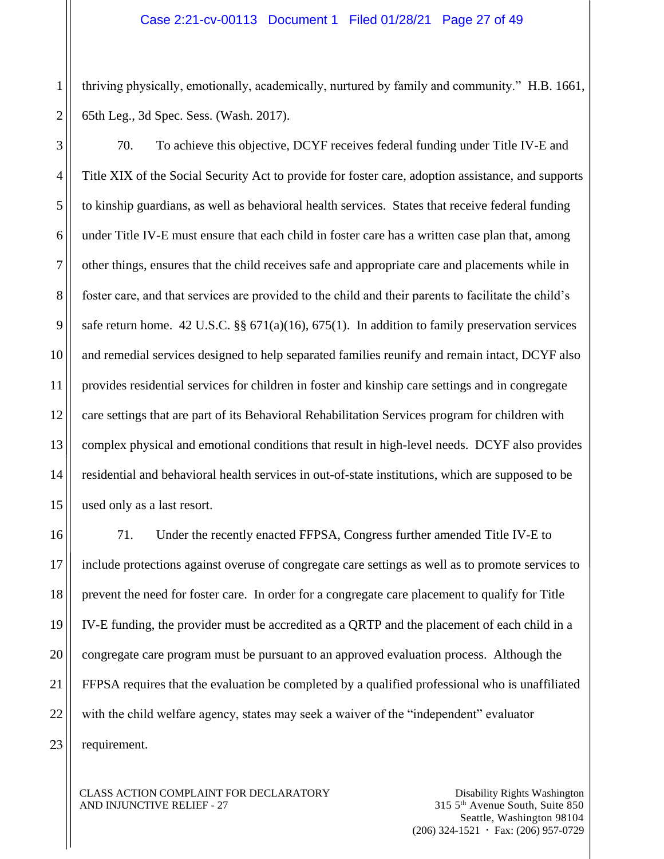thriving physically, emotionally, academically, nurtured by family and community." H.B. 1661, 65th Leg., 3d Spec. Sess. (Wash. 2017).

1

70. To achieve this objective, DCYF receives federal funding under Title IV-E and Title XIX of the Social Security Act to provide for foster care, adoption assistance, and supports to kinship guardians, as well as behavioral health services. States that receive federal funding under Title IV-E must ensure that each child in foster care has a written case plan that, among other things, ensures that the child receives safe and appropriate care and placements while in foster care, and that services are provided to the child and their parents to facilitate the child's safe return home. 42 U.S.C.  $\S$  671(a)(16), 675(1). In addition to family preservation services and remedial services designed to help separated families reunify and remain intact, DCYF also provides residential services for children in foster and kinship care settings and in congregate care settings that are part of its Behavioral Rehabilitation Services program for children with complex physical and emotional conditions that result in high-level needs. DCYF also provides residential and behavioral health services in out-of-state institutions, which are supposed to be used only as a last resort.

71. Under the recently enacted FFPSA, Congress further amended Title IV-E to include protections against overuse of congregate care settings as well as to promote services to prevent the need for foster care. In order for a congregate care placement to qualify for Title IV-E funding, the provider must be accredited as a QRTP and the placement of each child in a congregate care program must be pursuant to an approved evaluation process. Although the FFPSA requires that the evaluation be completed by a qualified professional who is unaffiliated with the child welfare agency, states may seek a waiver of the "independent" evaluator requirement.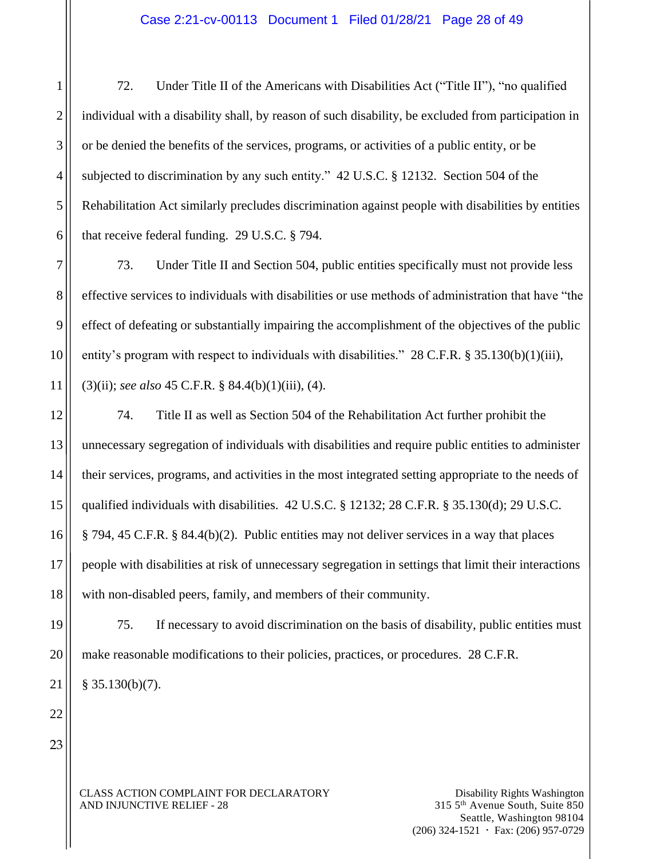72. Under Title II of the Americans with Disabilities Act ("Title II"), "no qualified individual with a disability shall, by reason of such disability, be excluded from participation in or be denied the benefits of the services, programs, or activities of a public entity, or be subjected to discrimination by any such entity." 42 U.S.C. § 12132. Section 504 of the Rehabilitation Act similarly precludes discrimination against people with disabilities by entities that receive federal funding. 29 U.S.C. § 794.

73. Under Title II and Section 504, public entities specifically must not provide less effective services to individuals with disabilities or use methods of administration that have "the effect of defeating or substantially impairing the accomplishment of the objectives of the public entity's program with respect to individuals with disabilities." 28 C.F.R. § 35.130(b)(1)(iii), (3)(ii); *see also* 45 C.F.R. § 84.4(b)(1)(iii), (4).

74. Title II as well as Section 504 of the Rehabilitation Act further prohibit the unnecessary segregation of individuals with disabilities and require public entities to administer their services, programs, and activities in the most integrated setting appropriate to the needs of qualified individuals with disabilities. 42 U.S.C. § 12132; 28 C.F.R. § 35.130(d); 29 U.S.C. § 794, 45 C.F.R. § 84.4(b)(2). Public entities may not deliver services in a way that places people with disabilities at risk of unnecessary segregation in settings that limit their interactions with non-disabled peers, family, and members of their community.

75. If necessary to avoid discrimination on the basis of disability, public entities must make reasonable modifications to their policies, practices, or procedures. 28 C.F.R.  $§$  35.130(b)(7).

23

22

1

2

3

4

5

6

7

8

9

10

11

12

13

14

15

16

17

18

19

20

21

CLASS ACTION COMPLAINT FOR DECLARATORY AND INJUNCTIVE RELIEF - 28

Disability Rights Washington 315 5th Avenue South, Suite 850 Seattle, Washington 98104  $(206)$  324-1521  $\cdot$  Fax: (206) 957-0729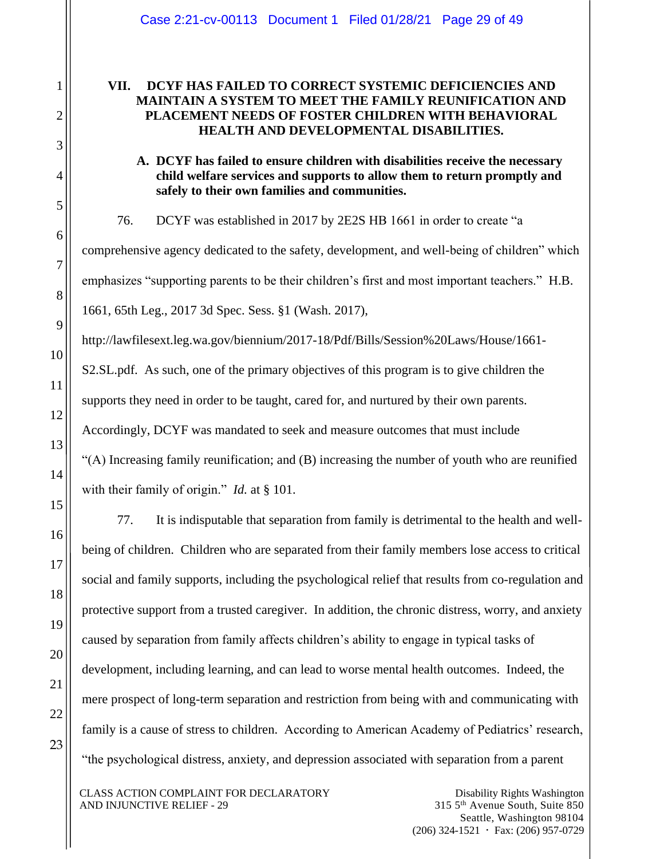# **VII. DCYF HAS FAILED TO CORRECT SYSTEMIC DEFICIENCIES AND MAINTAIN A SYSTEM TO MEET THE FAMILY REUNIFICATION AND PLACEMENT NEEDS OF FOSTER CHILDREN WITH BEHAVIORAL HEALTH AND DEVELOPMENTAL DISABILITIES.**

# **A. DCYF has failed to ensure children with disabilities receive the necessary child welfare services and supports to allow them to return promptly and safely to their own families and communities.**

76. DCYF was established in 2017 by 2E2S HB 1661 in order to create "a comprehensive agency dedicated to the safety, development, and well-being of children" which emphasizes "supporting parents to be their children's first and most important teachers." H.B. 1661, 65th Leg., 2017 3d Spec. Sess. §1 (Wash. 2017),

http://lawfilesext.leg.wa.gov/biennium/2017-18/Pdf/Bills/Session%20Laws/House/1661- S2.SL.pdf. As such, one of the primary objectives of this program is to give children the supports they need in order to be taught, cared for, and nurtured by their own parents. Accordingly, DCYF was mandated to seek and measure outcomes that must include "(A) Increasing family reunification; and (B) increasing the number of youth who are reunified with their family of origin." *Id.* at § 101.

77. It is indisputable that separation from family is detrimental to the health and wellbeing of children. Children who are separated from their family members lose access to critical social and family supports, including the psychological relief that results from co-regulation and protective support from a trusted caregiver. In addition, the chronic distress, worry, and anxiety caused by separation from family affects children's ability to engage in typical tasks of development, including learning, and can lead to worse mental health outcomes. Indeed, the mere prospect of long-term separation and restriction from being with and communicating with family is a cause of stress to children. According to American Academy of Pediatrics' research, "the psychological distress, anxiety, and depression associated with separation from a parent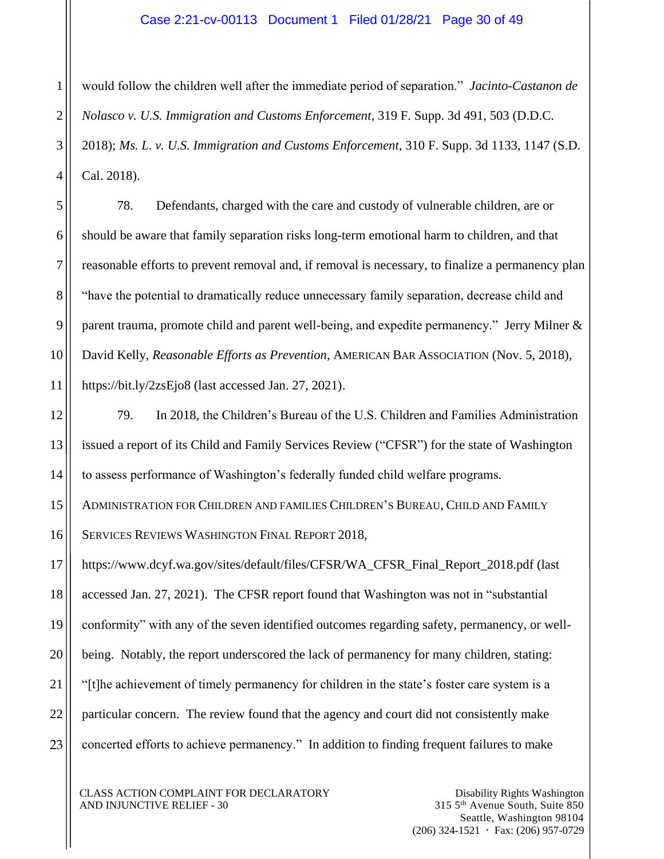#### Case 2:21-cv-00113 Document 1 Filed 01/28/21 Page 30 of 49

would follow the children well after the immediate period of separation." *Jacinto-Castanon de Nolasco v. U.S. Immigration and Customs Enforcement*, 319 F. Supp. 3d 491, 503 (D.D.C. 2018); *Ms. L. v. U.S. Immigration and Customs Enforcement*, 310 F. Supp. 3d 1133, 1147 (S.D. Cal. 2018).

78. Defendants, charged with the care and custody of vulnerable children, are or should be aware that family separation risks long-term emotional harm to children, and that reasonable efforts to prevent removal and, if removal is necessary, to finalize a permanency plan "have the potential to dramatically reduce unnecessary family separation, decrease child and parent trauma, promote child and parent well-being, and expedite permanency." Jerry Milner & David Kelly, *Reasonable Efforts as Prevention*, AMERICAN BAR ASSOCIATION (Nov. 5, 2018), https://bit.ly/2zsEjo8 (last accessed Jan. 27, 2021).

79. In 2018, the Children's Bureau of the U.S. Children and Families Administration issued a report of its Child and Family Services Review ("CFSR") for the state of Washington to assess performance of Washington's federally funded child welfare programs.

ADMINISTRATION FOR CHILDREN AND FAMILIES CHILDREN'S BUREAU, CHILD AND FAMILY

SERVICES REVIEWS WASHINGTON FINAL REPORT 2018,

[https://www.dcyf.wa.gov/sites/default/files/CFSR/WA\\_CFSR\\_Final\\_Report\\_2018.pdf](https://www.dcyf.wa.gov/sites/default/files/CFSR/WA_CFSR_Final_Report_2018.pdf) (last accessed Jan. 27, 2021). The CFSR report found that Washington was not in "substantial conformity" with any of the seven identified outcomes regarding safety, permanency, or wellbeing. Notably, the report underscored the lack of permanency for many children, stating: "[t]he achievement of timely permanency for children in the state's foster care system is a particular concern. The review found that the agency and court did not consistently make concerted efforts to achieve permanency." In addition to finding frequent failures to make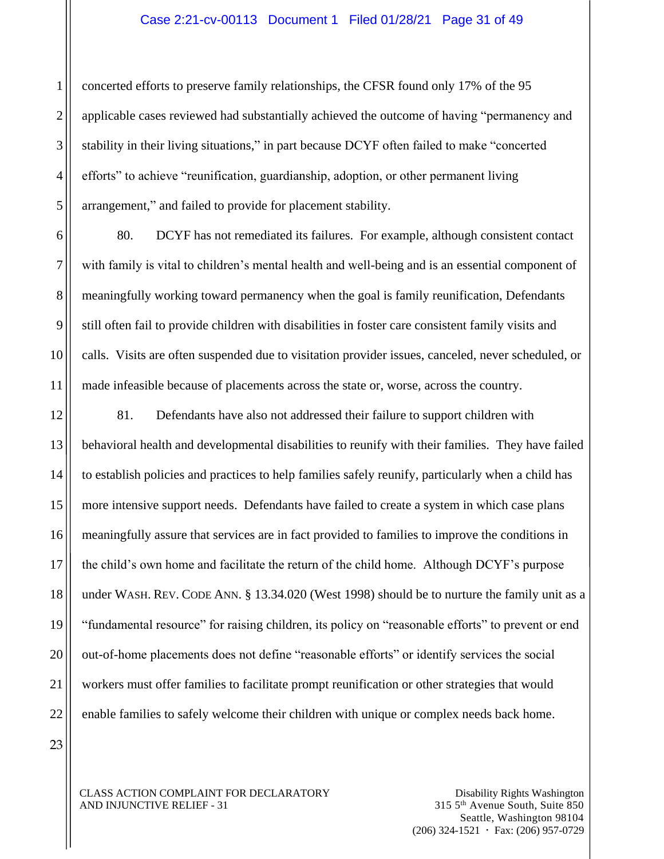#### Case 2:21-cv-00113 Document 1 Filed 01/28/21 Page 31 of 49

concerted efforts to preserve family relationships, the CFSR found only 17% of the 95 applicable cases reviewed had substantially achieved the outcome of having "permanency and stability in their living situations," in part because DCYF often failed to make "concerted efforts" to achieve "reunification, guardianship, adoption, or other permanent living arrangement," and failed to provide for placement stability.

80. DCYF has not remediated its failures. For example, although consistent contact with family is vital to children's mental health and well-being and is an essential component of meaningfully working toward permanency when the goal is family reunification, Defendants still often fail to provide children with disabilities in foster care consistent family visits and calls. Visits are often suspended due to visitation provider issues, canceled, never scheduled, or made infeasible because of placements across the state or, worse, across the country.

81. Defendants have also not addressed their failure to support children with behavioral health and developmental disabilities to reunify with their families. They have failed to establish policies and practices to help families safely reunify, particularly when a child has more intensive support needs. Defendants have failed to create a system in which case plans meaningfully assure that services are in fact provided to families to improve the conditions in the child's own home and facilitate the return of the child home. Although DCYF's purpose under WASH. REV. CODE ANN. § 13.34.020 (West 1998) should be to nurture the family unit as a "fundamental resource" for raising children, its policy on "reasonable efforts" to prevent or end out-of-home placements does not define "reasonable efforts" or identify services the social workers must offer families to facilitate prompt reunification or other strategies that would enable families to safely welcome their children with unique or complex needs back home.

23

CLASS ACTION COMPLAINT FOR DECLARATORY AND INJUNCTIVE RELIEF - 31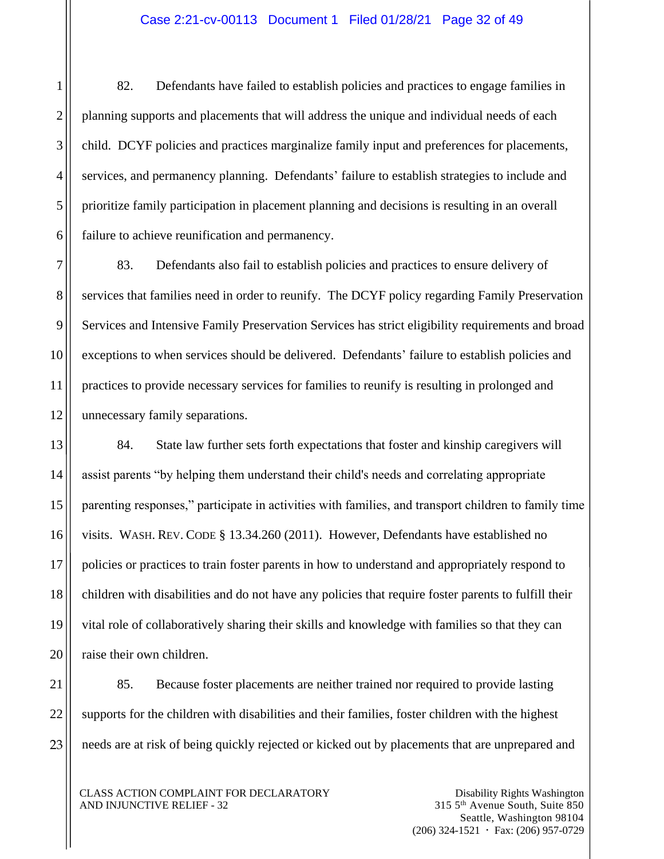#### Case 2:21-cv-00113 Document 1 Filed 01/28/21 Page 32 of 49

82. Defendants have failed to establish policies and practices to engage families in planning supports and placements that will address the unique and individual needs of each child. DCYF policies and practices marginalize family input and preferences for placements, services, and permanency planning. Defendants' failure to establish strategies to include and prioritize family participation in placement planning and decisions is resulting in an overall failure to achieve reunification and permanency.

83. Defendants also fail to establish policies and practices to ensure delivery of services that families need in order to reunify. The DCYF policy regarding Family Preservation Services and Intensive Family Preservation Services has strict eligibility requirements and broad exceptions to when services should be delivered. Defendants' failure to establish policies and practices to provide necessary services for families to reunify is resulting in prolonged and unnecessary family separations.

84. State law further sets forth expectations that foster and kinship caregivers will assist parents "by helping them understand their child's needs and correlating appropriate parenting responses," participate in activities with families, and transport children to family time visits. WASH. REV. CODE § 13.34.260 (2011). However, Defendants have established no policies or practices to train foster parents in how to understand and appropriately respond to children with disabilities and do not have any policies that require foster parents to fulfill their vital role of collaboratively sharing their skills and knowledge with families so that they can raise their own children.

85. Because foster placements are neither trained nor required to provide lasting supports for the children with disabilities and their families, foster children with the highest needs are at risk of being quickly rejected or kicked out by placements that are unprepared and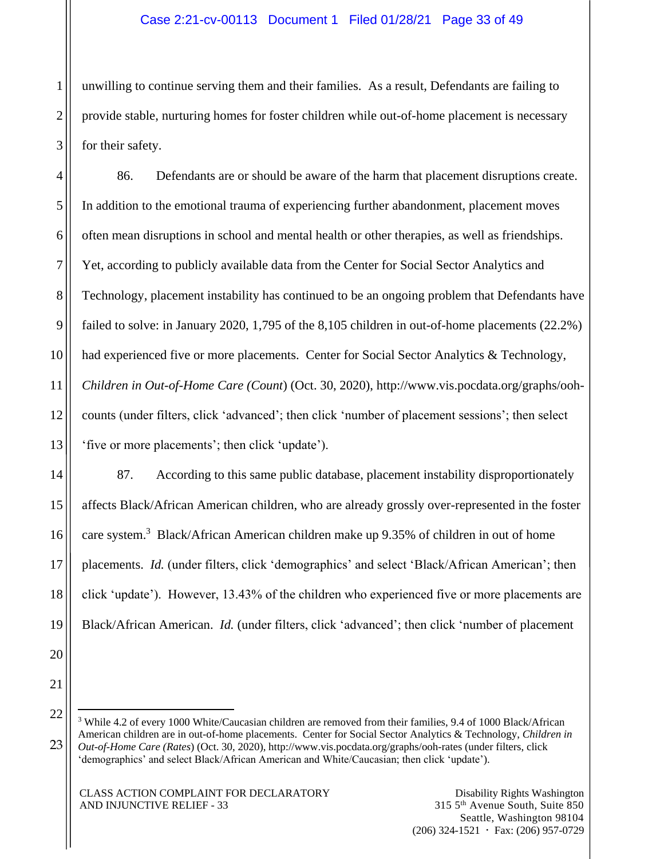unwilling to continue serving them and their families. As a result, Defendants are failing to provide stable, nurturing homes for foster children while out-of-home placement is necessary for their safety.

86. Defendants are or should be aware of the harm that placement disruptions create. In addition to the emotional trauma of experiencing further abandonment, placement moves often mean disruptions in school and mental health or other therapies, as well as friendships. Yet, according to publicly available data from the Center for Social Sector Analytics and Technology, placement instability has continued to be an ongoing problem that Defendants have failed to solve: in January 2020, 1,795 of the 8,105 children in out-of-home placements (22.2%) had experienced five or more placements. Center for Social Sector Analytics & Technology, *Children in Out-of-Home Care (Count*) (Oct. 30, 2020), [http://www.vis.pocdata.org/graphs/ooh](http://www.vis.pocdata.org/graphs/ooh-counts)[counts](http://www.vis.pocdata.org/graphs/ooh-counts) (under filters, click 'advanced'; then click 'number of placement sessions'; then select 'five or more placements'; then click 'update').

87. According to this same public database, placement instability disproportionately affects Black/African American children, who are already grossly over-represented in the foster care system.<sup>3</sup> Black/African American children make up 9.35% of children in out of home placements. *Id.* (under filters, click 'demographics' and select 'Black/African American'; then click 'update'). However, 13.43% of the children who experienced five or more placements are Black/African American. *Id.* (under filters, click 'advanced'; then click 'number of placement

 $\overline{a}$ 

<sup>&</sup>lt;sup>3</sup> While 4.2 of every 1000 White/Caucasian children are removed from their families, 9.4 of 1000 Black/African American children are in out-of-home placements. Center for Social Sector Analytics & Technology, *Children in Out-of-Home Care (Rates*) (Oct. 30, 2020),<http://www.vis.pocdata.org/graphs/ooh-rates> (under filters, click 'demographics' and select Black/African American and White/Caucasian; then click 'update').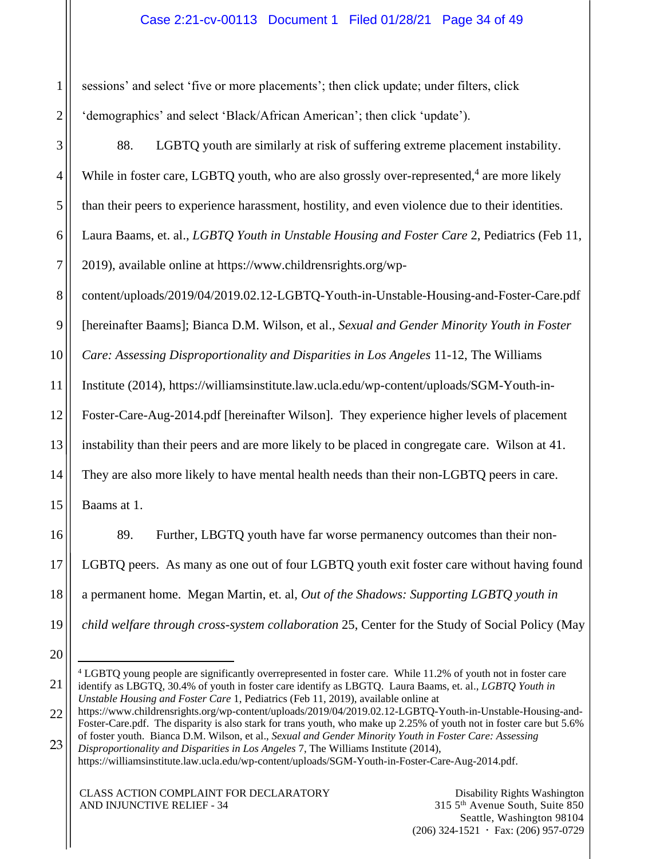# Case 2:21-cv-00113 Document 1 Filed 01/28/21 Page 34 of 49

sessions' and select 'five or more placements'; then click update; under filters, click 'demographics' and select 'Black/African American'; then click 'update').

88. LGBTQ youth are similarly at risk of suffering extreme placement instability. While in foster care, LGBTQ youth, who are also grossly over-represented,<sup>4</sup> are more likely than their peers to experience harassment, hostility, and even violence due to their identities.

Laura Baams, et. al., *LGBTQ Youth in Unstable Housing and Foster Care* 2, Pediatrics (Feb 11,

2019), available online at https://www.childrensrights.org/wp-

content/uploads/2019/04/2019.02.12-LGBTQ-Youth-in-Unstable-Housing-and-Foster-Care.pdf

9 [hereinafter Baams]; Bianca D.M. Wilson, et al., *Sexual and Gender Minority Youth in Foster* 

10 *Care: Assessing Disproportionality and Disparities in Los Angeles* 11-12, The Williams

11 Institute (2014), https://williamsinstitute.law.ucla.edu/wp-content/uploads/SGM-Youth-in-

12 Foster-Care-Aug-2014.pdf [hereinafter Wilson]. They experience higher levels of placement

13 instability than their peers and are more likely to be placed in congregate care. Wilson at 41.

14 They are also more likely to have mental health needs than their non-LGBTQ peers in care.

Baams at 1.

89. Further, LBGTQ youth have far worse permanency outcomes than their non-LGBTQ peers. As many as one out of four LGBTQ youth exit foster care without having found a permanent home. Megan Martin, et. al, *Out of the Shadows: Supporting LGBTQ youth in child welfare through cross-system collaboration* 25, Center for the Study of Social Policy (May

20

21

15

16

17

18

19

1

2

3

4

5

6

7

8

https://williamsinstitute.law.ucla.edu/wp-content/uploads/SGM-Youth-in-Foster-Care-Aug-2014.pdf.

 $\overline{a}$ <sup>4</sup> LGBTQ young people are significantly overrepresented in foster care. While 11.2% of youth not in foster care identify as LBGTQ, 30.4% of youth in foster care identify as LBGTQ. Laura Baams, et. al., *LGBTQ Youth in Unstable Housing and Foster Care* 1, Pediatrics (Feb 11, 2019), available online at

<sup>22</sup> 23 https://www.childrensrights.org/wp-content/uploads/2019/04/2019.02.12-LGBTQ-Youth-in-Unstable-Housing-and-Foster-Care.pdf. The disparity is also stark for trans youth, who make up 2.25% of youth not in foster care but 5.6% of foster youth. Bianca D.M. Wilson, et al., *Sexual and Gender Minority Youth in Foster Care: Assessing Disproportionality and Disparities in Los Angeles* 7, The Williams Institute (2014),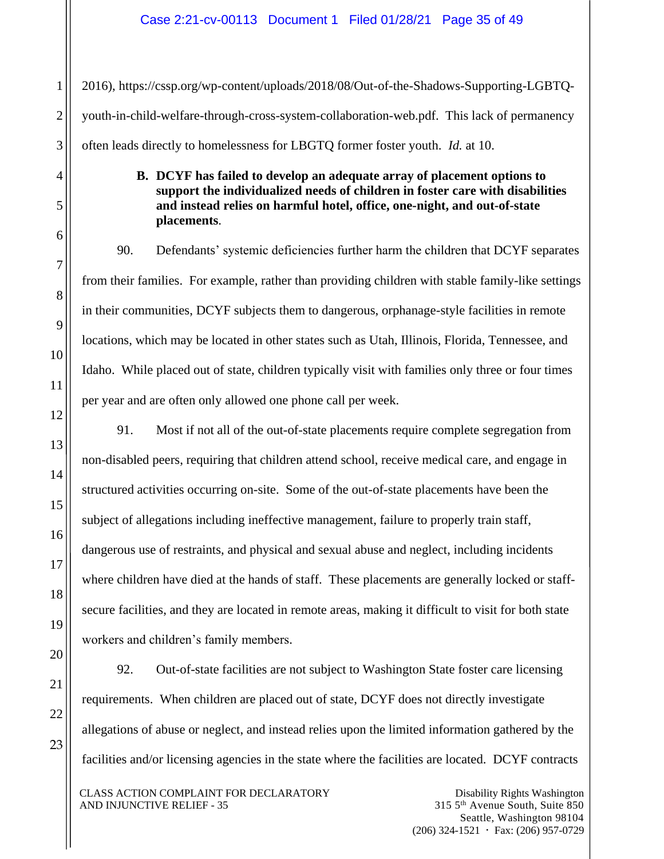2016), https://cssp.org/wp-content/uploads/2018/08/Out-of-the-Shadows-Supporting-LGBTQyouth-in-child-welfare-through-cross-system-collaboration-web.pdf. This lack of permanency often leads directly to homelessness for LBGTQ former foster youth. *Id.* at 10.

# **B. DCYF has failed to develop an adequate array of placement options to support the individualized needs of children in foster care with disabilities and instead relies on harmful hotel, office, one-night, and out-of-state placements**.

90. Defendants' systemic deficiencies further harm the children that DCYF separates from their families. For example, rather than providing children with stable family-like settings in their communities, DCYF subjects them to dangerous, orphanage-style facilities in remote locations, which may be located in other states such as Utah, Illinois, Florida, Tennessee, and Idaho. While placed out of state, children typically visit with families only three or four times per year and are often only allowed one phone call per week.

91. Most if not all of the out-of-state placements require complete segregation from non-disabled peers, requiring that children attend school, receive medical care, and engage in structured activities occurring on-site. Some of the out-of-state placements have been the subject of allegations including ineffective management, failure to properly train staff, dangerous use of restraints, and physical and sexual abuse and neglect, including incidents where children have died at the hands of staff. These placements are generally locked or staffsecure facilities, and they are located in remote areas, making it difficult to visit for both state workers and children's family members.

23

1

2

3

4

5

6

7

8

9

10

11

12

13

14

92. Out-of-state facilities are not subject to Washington State foster care licensing requirements. When children are placed out of state, DCYF does not directly investigate allegations of abuse or neglect, and instead relies upon the limited information gathered by the facilities and/or licensing agencies in the state where the facilities are located. DCYF contracts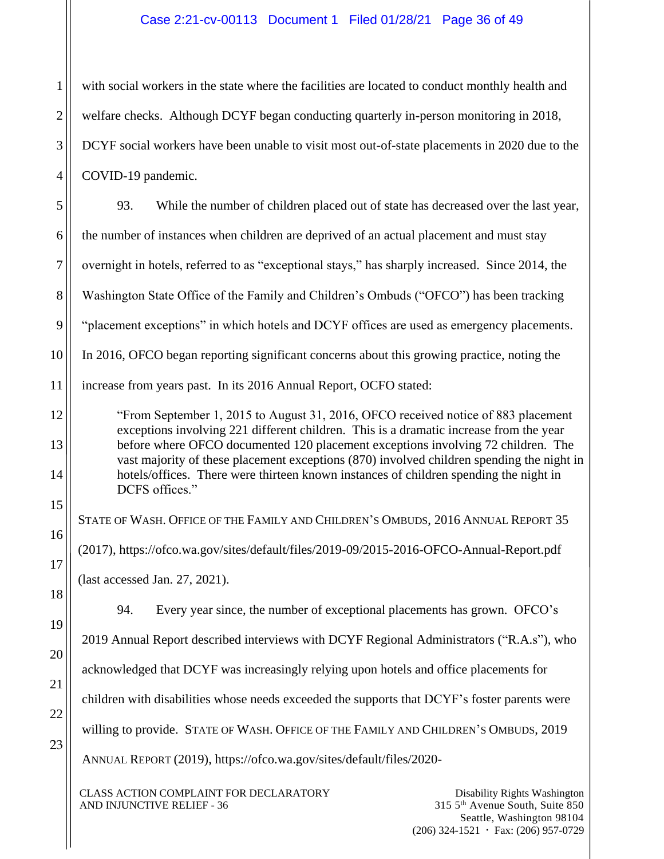# Case 2:21-cv-00113 Document 1 Filed 01/28/21 Page 36 of 49

with social workers in the state where the facilities are located to conduct monthly health and welfare checks. Although DCYF began conducting quarterly in-person monitoring in 2018, DCYF social workers have been unable to visit most out-of-state placements in 2020 due to the COVID-19 pandemic.

5 6 7 8 9 10 11 12 13 14 15 16 17 18 93. While the number of children placed out of state has decreased over the last year, the number of instances when children are deprived of an actual placement and must stay overnight in hotels, referred to as "exceptional stays," has sharply increased. Since 2014, the Washington State Office of the Family and Children's Ombuds ("OFCO") has been tracking "placement exceptions" in which hotels and DCYF offices are used as emergency placements. In 2016, OFCO began reporting significant concerns about this growing practice, noting the increase from years past. In its 2016 Annual Report, OCFO stated: "From September 1, 2015 to August 31, 2016, OFCO received notice of 883 placement exceptions involving 221 different children. This is a dramatic increase from the year before where OFCO documented 120 placement exceptions involving 72 children. The vast majority of these placement exceptions (870) involved children spending the night in hotels/offices. There were thirteen known instances of children spending the night in DCFS offices." STATE OF WASH. OFFICE OF THE FAMILY AND CHILDREN'S OMBUDS, 2016 ANNUAL REPORT 35 (2017), https://ofco.wa.gov/sites/default/files/2019-09/2015-2016-OFCO-Annual-Report.pdf (last accessed Jan. 27, 2021).

94. Every year since, the number of exceptional placements has grown. OFCO's 2019 Annual Report described interviews with DCYF Regional Administrators ("R.A.s"), who acknowledged that DCYF was increasingly relying upon hotels and office placements for children with disabilities whose needs exceeded the supports that DCYF's foster parents were willing to provide. STATE OF WASH. OFFICE OF THE FAMILY AND CHILDREN'S OMBUDS, 2019 ANNUAL REPORT (2019), https://ofco.wa.gov/sites/default/files/2020-

CLASS ACTION COMPLAINT FOR DECLARATORY AND INJUNCTIVE RELIEF - 36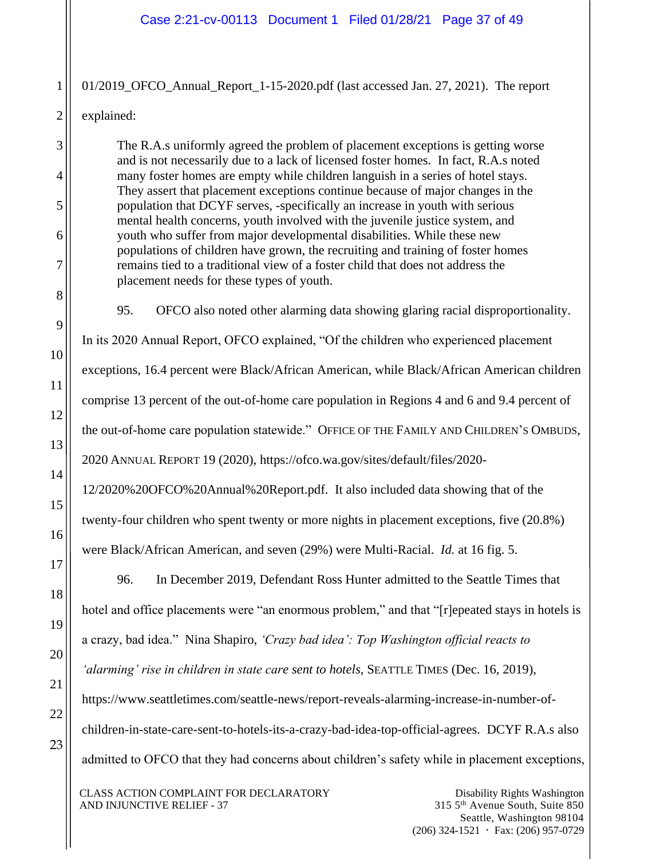01/2019\_OFCO\_Annual\_Report\_1-15-2020.pdf (last accessed Jan. 27, 2021). The report explained:

The R.A.s uniformly agreed the problem of placement exceptions is getting worse and is not necessarily due to a lack of licensed foster homes. In fact, R.A.s noted many foster homes are empty while children languish in a series of hotel stays. They assert that placement exceptions continue because of major changes in the population that DCYF serves, -specifically an increase in youth with serious mental health concerns, youth involved with the juvenile justice system, and youth who suffer from major developmental disabilities. While these new populations of children have grown, the recruiting and training of foster homes remains tied to a traditional view of a foster child that does not address the placement needs for these types of youth.

95. OFCO also noted other alarming data showing glaring racial disproportionality.

In its 2020 Annual Report, OFCO explained, "Of the children who experienced placement

exceptions, 16.4 percent were Black/African American, while Black/African American children

comprise 13 percent of the out-of-home care population in Regions 4 and 6 and 9.4 percent of

the out-of-home care population statewide." OFFICE OF THE FAMILY AND CHILDREN'S OMBUDS,

2020 ANNUAL REPORT 19 (2020), https://ofco.wa.gov/sites/default/files/2020-

12/2020%20OFCO%20Annual%20Report.pdf. It also included data showing that of the

twenty-four children who spent twenty or more nights in placement exceptions, five (20.8%)

were Black/African American, and seven (29%) were Multi-Racial. *Id.* at 16 fig. 5.

96. In December 2019, Defendant Ross Hunter admitted to the Seattle Times that hotel and office placements were "an enormous problem," and that "[r]epeated stays in hotels is

a crazy, bad idea." Nina Shapiro, *'Crazy bad idea': Top Washington official reacts to* 

*'alarming' rise in children in state care sent to hotels*, SEATTLE TIMES (Dec. 16, 2019),

[https://www.seattletimes.com/seattle-news/report-reveals-alarming-increase-in-number-of-](https://www.seattletimes.com/seattle-news/report-reveals-alarming-increase-in-number-of-children-in-state-care-sent-to-hotels-its-a-crazy-bad-idea-top-official-agrees)

[children-in-state-care-sent-to-hotels-its-a-crazy-bad-idea-top-official-agrees.](https://www.seattletimes.com/seattle-news/report-reveals-alarming-increase-in-number-of-children-in-state-care-sent-to-hotels-its-a-crazy-bad-idea-top-official-agrees) DCYF R.A.s also admitted to OFCO that they had concerns about children's safety while in placement exceptions,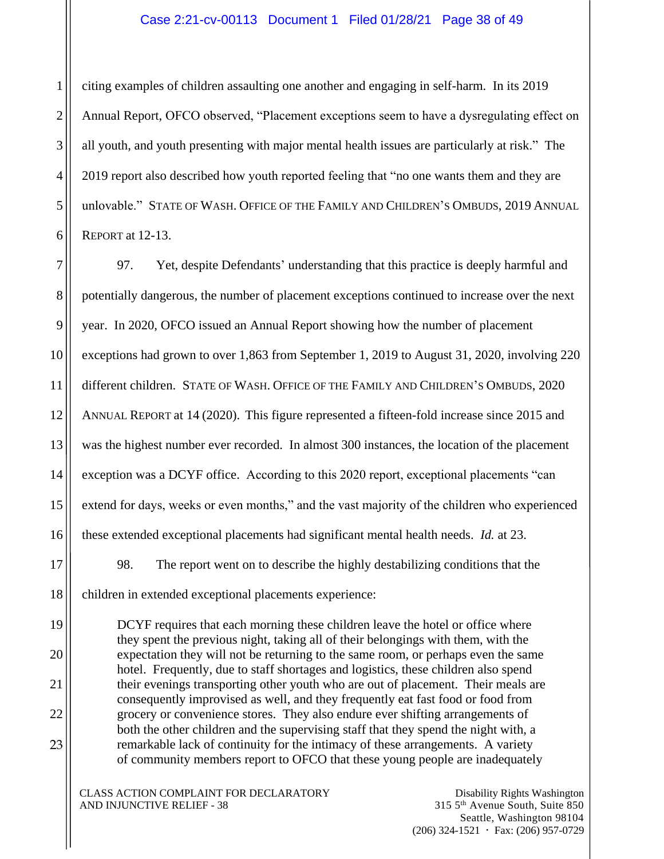### Case 2:21-cv-00113 Document 1 Filed 01/28/21 Page 38 of 49

citing examples of children assaulting one another and engaging in self-harm. In its 2019 Annual Report, OFCO observed, "Placement exceptions seem to have a dysregulating effect on all youth, and youth presenting with major mental health issues are particularly at risk." The 2019 report also described how youth reported feeling that "no one wants them and they are unlovable." STATE OF WASH. OFFICE OF THE FAMILY AND CHILDREN'S OMBUDS, 2019 ANNUAL REPORT at 12-13.

1

2

3

4

5

6

17

18

19

20

21

22

23

7 8 9 10 11 12 13 14 15 16 97. Yet, despite Defendants' understanding that this practice is deeply harmful and potentially dangerous, the number of placement exceptions continued to increase over the next year. In 2020, OFCO issued an Annual Report showing how the number of placement exceptions had grown to over 1,863 from September 1, 2019 to August 31, 2020, involving 220 different children. STATE OF WASH. OFFICE OF THE FAMILY AND CHILDREN'S OMBUDS, 2020 ANNUAL REPORT at 14 (2020). This figure represented a fifteen-fold increase since 2015 and was the highest number ever recorded. In almost 300 instances, the location of the placement exception was a DCYF office. According to this 2020 report, exceptional placements "can extend for days, weeks or even months," and the vast majority of the children who experienced these extended exceptional placements had significant mental health needs. *Id.* at 23.

98. The report went on to describe the highly destabilizing conditions that the children in extended exceptional placements experience:

DCYF requires that each morning these children leave the hotel or office where they spent the previous night, taking all of their belongings with them, with the expectation they will not be returning to the same room, or perhaps even the same hotel. Frequently, due to staff shortages and logistics, these children also spend their evenings transporting other youth who are out of placement. Their meals are consequently improvised as well, and they frequently eat fast food or food from grocery or convenience stores. They also endure ever shifting arrangements of both the other children and the supervising staff that they spend the night with, a remarkable lack of continuity for the intimacy of these arrangements. A variety of community members report to OFCO that these young people are inadequately

CLASS ACTION COMPLAINT FOR DECLARATORY AND INJUNCTIVE RELIEF - 38

Disability Rights Washington 315 5th Avenue South, Suite 850 Seattle, Washington 98104  $(206)$  324-1521  $\cdot$  Fax: (206) 957-0729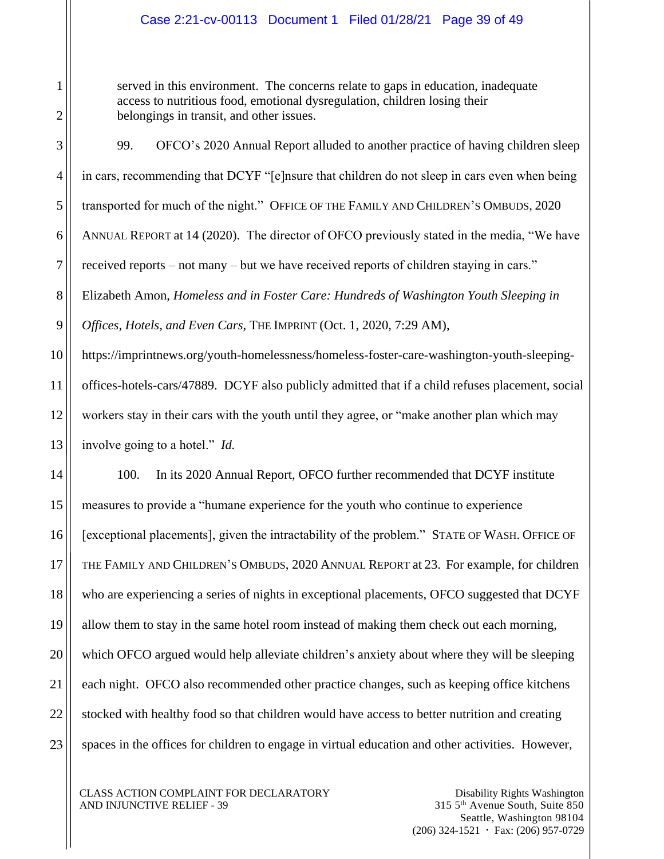served in this environment. The concerns relate to gaps in education, inadequate access to nutritious food, emotional dysregulation, children losing their belongings in transit, and other issues.

99. OFCO's 2020 Annual Report alluded to another practice of having children sleep in cars, recommending that DCYF "[e]nsure that children do not sleep in cars even when being transported for much of the night." OFFICE OF THE FAMILY AND CHILDREN'S OMBUDS, 2020 ANNUAL REPORT at 14 (2020). The director of OFCO previously stated in the media, "We have received reports – not many – but we have received reports of children staying in cars." Elizabeth Amon, *Homeless and in Foster Care: Hundreds of Washington Youth Sleeping in Offices, Hotels, and Even Cars*, THE IMPRINT (Oct. 1, 2020, 7:29 AM), https://imprintnews.org/youth-homelessness/homeless-foster-care-washington-youth-sleeping-

offices-hotels-cars/47889. DCYF also publicly admitted that if a child refuses placement, social workers stay in their cars with the youth until they agree, or "make another plan which may involve going to a hotel." *Id.* 

100. In its 2020 Annual Report, OFCO further recommended that DCYF institute measures to provide a "humane experience for the youth who continue to experience [exceptional placements], given the intractability of the problem." STATE OF WASH. OFFICE OF THE FAMILY AND CHILDREN'S OMBUDS, 2020 ANNUAL REPORT at 23. For example, for children who are experiencing a series of nights in exceptional placements, OFCO suggested that DCYF allow them to stay in the same hotel room instead of making them check out each morning, which OFCO argued would help alleviate children's anxiety about where they will be sleeping each night. OFCO also recommended other practice changes, such as keeping office kitchens stocked with healthy food so that children would have access to better nutrition and creating spaces in the offices for children to engage in virtual education and other activities. However,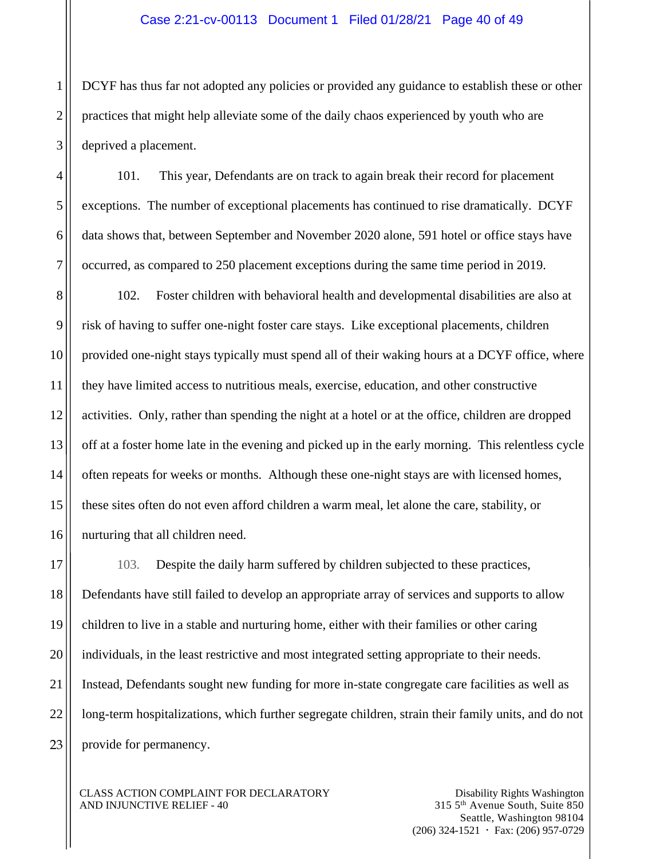DCYF has thus far not adopted any policies or provided any guidance to establish these or other practices that might help alleviate some of the daily chaos experienced by youth who are deprived a placement.

101. This year, Defendants are on track to again break their record for placement exceptions. The number of exceptional placements has continued to rise dramatically. DCYF data shows that, between September and November 2020 alone, 591 hotel or office stays have occurred, as compared to 250 placement exceptions during the same time period in 2019.

102. Foster children with behavioral health and developmental disabilities are also at risk of having to suffer one-night foster care stays. Like exceptional placements, children provided one-night stays typically must spend all of their waking hours at a DCYF office, where they have limited access to nutritious meals, exercise, education, and other constructive activities. Only, rather than spending the night at a hotel or at the office, children are dropped off at a foster home late in the evening and picked up in the early morning. This relentless cycle often repeats for weeks or months. Although these one-night stays are with licensed homes, these sites often do not even afford children a warm meal, let alone the care, stability, or nurturing that all children need.

103. Despite the daily harm suffered by children subjected to these practices, Defendants have still failed to develop an appropriate array of services and supports to allow children to live in a stable and nurturing home, either with their families or other caring individuals, in the least restrictive and most integrated setting appropriate to their needs. Instead, Defendants sought new funding for more in-state congregate care facilities as well as long-term hospitalizations, which further segregate children, strain their family units, and do not provide for permanency.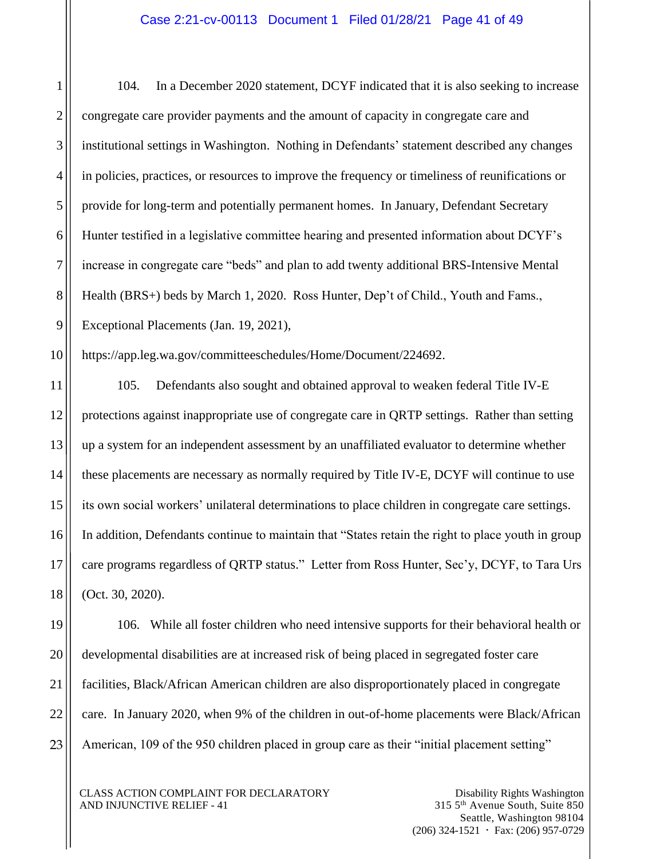104. In a December 2020 statement, DCYF indicated that it is also seeking to increase congregate care provider payments and the amount of capacity in congregate care and institutional settings in Washington. Nothing in Defendants' statement described any changes in policies, practices, or resources to improve the frequency or timeliness of reunifications or provide for long-term and potentially permanent homes. In January, Defendant Secretary Hunter testified in a legislative committee hearing and presented information about DCYF's increase in congregate care "beds" and plan to add twenty additional BRS-Intensive Mental Health (BRS+) beds by March 1, 2020. Ross Hunter, Dep't of Child., Youth and Fams., Exceptional Placements (Jan. 19, 2021),

https://app.leg.wa.gov/committeeschedules/Home/Document/224692.

105. Defendants also sought and obtained approval to weaken federal Title IV-E protections against inappropriate use of congregate care in QRTP settings. Rather than setting up a system for an independent assessment by an unaffiliated evaluator to determine whether these placements are necessary as normally required by Title IV-E, DCYF will continue to use its own social workers' unilateral determinations to place children in congregate care settings. In addition, Defendants continue to maintain that "States retain the right to place youth in group care programs regardless of QRTP status." Letter from Ross Hunter, Sec'y, DCYF, to Tara Urs (Oct. 30, 2020).

106. While all foster children who need intensive supports for their behavioral health or developmental disabilities are at increased risk of being placed in segregated foster care facilities, Black/African American children are also disproportionately placed in congregate care. In January 2020, when 9% of the children in out-of-home placements were Black/African American, 109 of the 950 children placed in group care as their "initial placement setting"

CLASS ACTION COMPLAINT FOR DECLARATORY AND INJUNCTIVE RELIEF - 41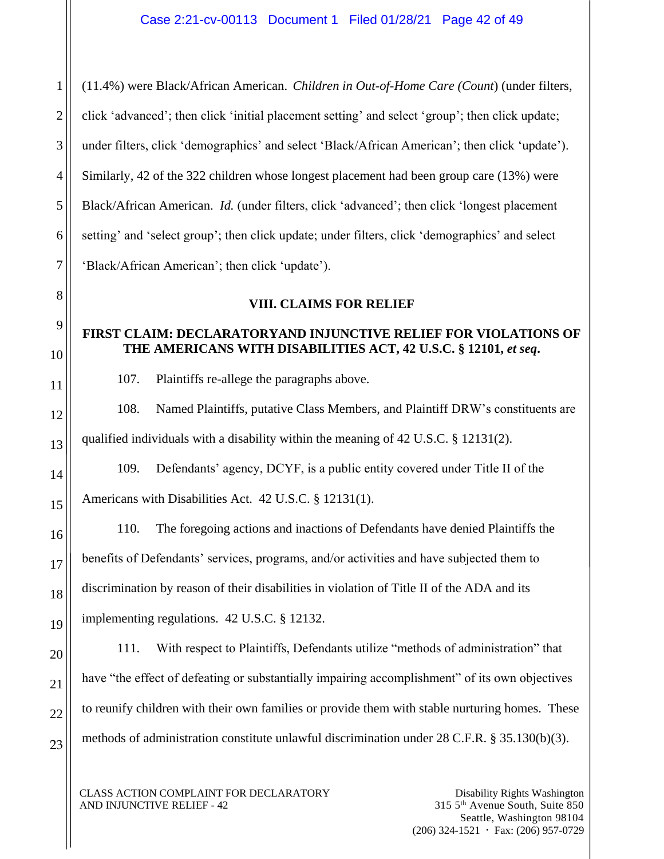(11.4%) were Black/African American. *Children in Out-of-Home Care (Count*) (under filters, click 'advanced'; then click 'initial placement setting' and select 'group'; then click update; under filters, click 'demographics' and select 'Black/African American'; then click 'update'). Similarly, 42 of the 322 children whose longest placement had been group care (13%) were Black/African American. *Id.* (under filters, click 'advanced'; then click 'longest placement setting' and 'select group'; then click update; under filters, click 'demographics' and select 'Black/African American'; then click 'update').

# **VIII. CLAIMS FOR RELIEF**

# **FIRST CLAIM: DECLARATORYAND INJUNCTIVE RELIEF FOR VIOLATIONS OF THE AMERICANS WITH DISABILITIES ACT, 42 U.S.C. § 12101,** *et seq***.**

107. Plaintiffs re-allege the paragraphs above.

108. Named Plaintiffs, putative Class Members, and Plaintiff DRW's constituents are qualified individuals with a disability within the meaning of 42 U.S.C. § 12131(2).

109. Defendants' agency, DCYF, is a public entity covered under Title II of the Americans with Disabilities Act. 42 U.S.C. § 12131(1).

110. The foregoing actions and inactions of Defendants have denied Plaintiffs the benefits of Defendants' services, programs, and/or activities and have subjected them to discrimination by reason of their disabilities in violation of Title II of the ADA and its implementing regulations. 42 U.S.C. § 12132.

111. With respect to Plaintiffs, Defendants utilize "methods of administration" that have "the effect of defeating or substantially impairing accomplishment" of its own objectives to reunify children with their own families or provide them with stable nurturing homes. These methods of administration constitute unlawful discrimination under 28 C.F.R. § 35.130(b)(3).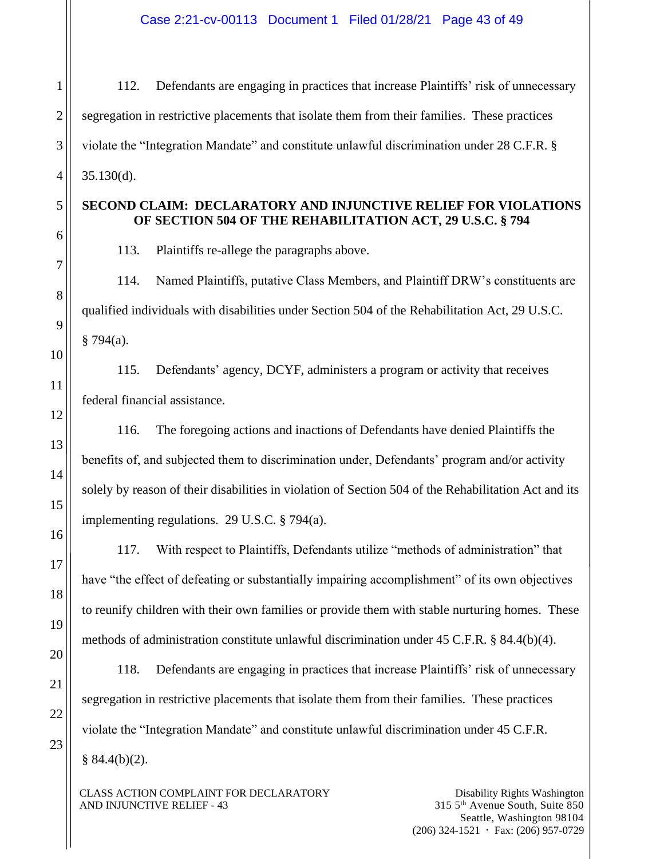Case 2:21-cv-00113 Document 1 Filed 01/28/21 Page 43 of 49

112. Defendants are engaging in practices that increase Plaintiffs' risk of unnecessary segregation in restrictive placements that isolate them from their families. These practices violate the "Integration Mandate" and constitute unlawful discrimination under 28 C.F.R. § 35.130(d).

# **SECOND CLAIM: DECLARATORY AND INJUNCTIVE RELIEF FOR VIOLATIONS OF SECTION 504 OF THE REHABILITATION ACT, 29 U.S.C. § 794**

113. Plaintiffs re-allege the paragraphs above.

114. Named Plaintiffs, putative Class Members, and Plaintiff DRW's constituents are qualified individuals with disabilities under Section 504 of the Rehabilitation Act, 29 U.S.C.  $§ 794(a).$ 

115. Defendants' agency, DCYF, administers a program or activity that receives federal financial assistance.

116. The foregoing actions and inactions of Defendants have denied Plaintiffs the benefits of, and subjected them to discrimination under, Defendants' program and/or activity solely by reason of their disabilities in violation of Section 504 of the Rehabilitation Act and its implementing regulations. 29 U.S.C. § 794(a).

117. With respect to Plaintiffs, Defendants utilize "methods of administration" that have "the effect of defeating or substantially impairing accomplishment" of its own objectives to reunify children with their own families or provide them with stable nurturing homes. These methods of administration constitute unlawful discrimination under 45 C.F.R. § 84.4(b)(4).

118. Defendants are engaging in practices that increase Plaintiffs' risk of unnecessary segregation in restrictive placements that isolate them from their families. These practices violate the "Integration Mandate" and constitute unlawful discrimination under 45 C.F.R.  $§ 84.4(b)(2).$ 

CLASS ACTION COMPLAINT FOR DECLARATORY AND INJUNCTIVE RELIEF - 43

Disability Rights Washington 315 5th Avenue South, Suite 850 Seattle, Washington 98104  $(206)$  324-1521  $\cdot$  Fax: (206) 957-0729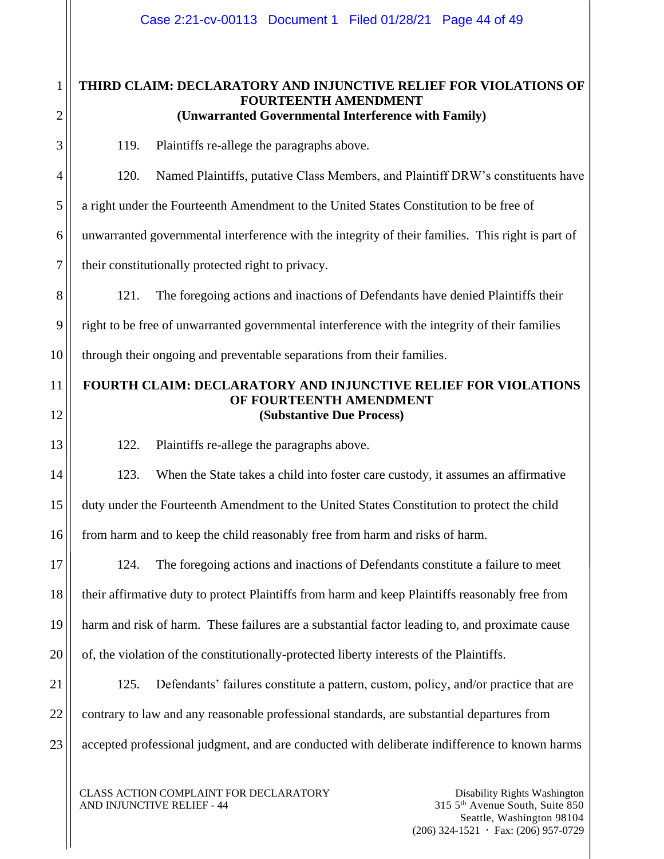# **THIRD CLAIM: DECLARATORY AND INJUNCTIVE RELIEF FOR VIOLATIONS OF FOURTEENTH AMENDMENT (Unwarranted Governmental Interference with Family)**

119. Plaintiffs re-allege the paragraphs above.

120. Named Plaintiffs, putative Class Members, and Plaintiff DRW's constituents have

a right under the Fourteenth Amendment to the United States Constitution to be free of

6 unwarranted governmental interference with the integrity of their families. This right is part of

their constitutionally protected right to privacy.

1

2

3

4

5

7

8

9

10

12

13

14

15

16

17

18

19

20

121. The foregoing actions and inactions of Defendants have denied Plaintiffs their right to be free of unwarranted governmental interference with the integrity of their families through their ongoing and preventable separations from their families.

11

# **FOURTH CLAIM: DECLARATORY AND INJUNCTIVE RELIEF FOR VIOLATIONS OF FOURTEENTH AMENDMENT (Substantive Due Process)**

122. Plaintiffs re-allege the paragraphs above.

123. When the State takes a child into foster care custody, it assumes an affirmative duty under the Fourteenth Amendment to the United States Constitution to protect the child from harm and to keep the child reasonably free from harm and risks of harm.

124. The foregoing actions and inactions of Defendants constitute a failure to meet their affirmative duty to protect Plaintiffs from harm and keep Plaintiffs reasonably free from harm and risk of harm. These failures are a substantial factor leading to, and proximate cause of, the violation of the constitutionally-protected liberty interests of the Plaintiffs.

21 22 23 125. Defendants' failures constitute a pattern, custom, policy, and/or practice that are contrary to law and any reasonable professional standards, are substantial departures from accepted professional judgment, and are conducted with deliberate indifference to known harms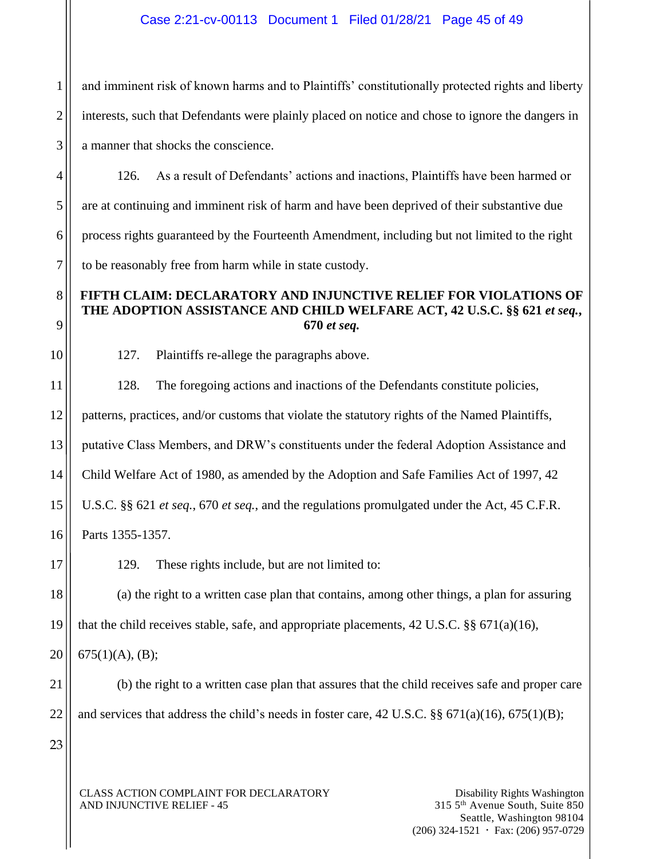and imminent risk of known harms and to Plaintiffs' constitutionally protected rights and liberty interests, such that Defendants were plainly placed on notice and chose to ignore the dangers in a manner that shocks the conscience.

126. As a result of Defendants' actions and inactions, Plaintiffs have been harmed or are at continuing and imminent risk of harm and have been deprived of their substantive due process rights guaranteed by the Fourteenth Amendment, including but not limited to the right to be reasonably free from harm while in state custody.

# **FIFTH CLAIM: DECLARATORY AND INJUNCTIVE RELIEF FOR VIOLATIONS OF THE ADOPTION ASSISTANCE AND CHILD WELFARE ACT, 42 U.S.C. §§ 621** *et seq.***, 670** *et seq.*

127. Plaintiffs re-allege the paragraphs above.

128. The foregoing actions and inactions of the Defendants constitute policies,

patterns, practices, and/or customs that violate the statutory rights of the Named Plaintiffs,

putative Class Members, and DRW's constituents under the federal Adoption Assistance and

Child Welfare Act of 1980, as amended by the Adoption and Safe Families Act of 1997, 42

U.S.C. §§ 621 *et seq.*, 670 *et seq.*, and the regulations promulgated under the Act, 45 C.F.R.

Parts 1355-1357.

129. These rights include, but are not limited to:

(a) the right to a written case plan that contains, among other things, a plan for assuring that the child receives stable, safe, and appropriate placements,  $42 \text{ U.S.C.}$  §§  $671(a)(16)$ ,

675(1)(A), (B);

(b) the right to a written case plan that assures that the child receives safe and proper care and services that address the child's needs in foster care,  $42 \text{ U.S.C.}$  §§  $671(a)(16)$ ,  $675(1)(B)$ ;

CLASS ACTION COMPLAINT FOR DECLARATORY AND INJUNCTIVE RELIEF - 45

23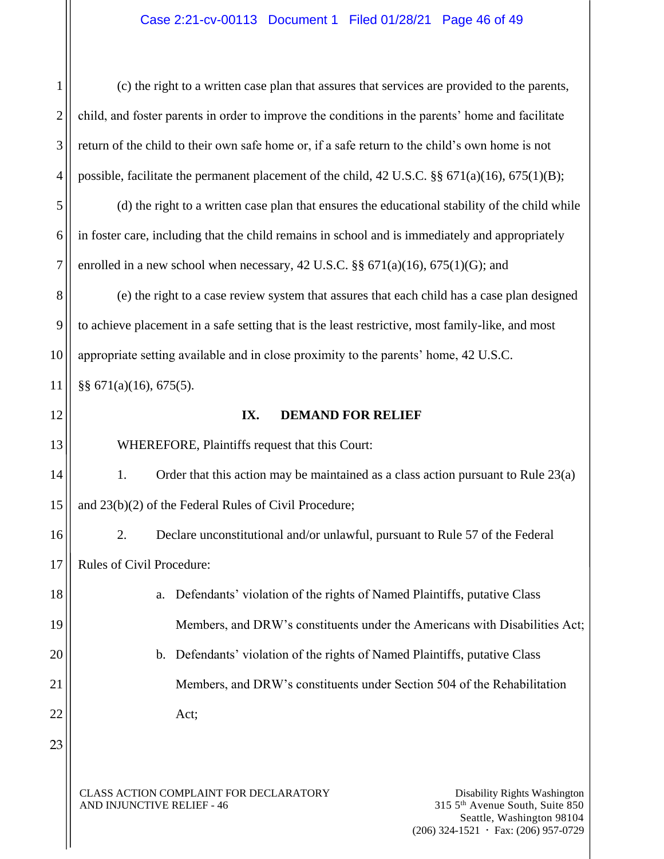# Case 2:21-cv-00113 Document 1 Filed 01/28/21 Page 46 of 49

(c) the right to a written case plan that assures that services are provided to the parents, child, and foster parents in order to improve the conditions in the parents' home and facilitate return of the child to their own safe home or, if a safe return to the child's own home is not possible, facilitate the permanent placement of the child, 42 U.S.C. §§ 671(a)(16), 675(1)(B);

5 6 7 (d) the right to a written case plan that ensures the educational stability of the child while in foster care, including that the child remains in school and is immediately and appropriately enrolled in a new school when necessary,  $42 \text{ U.S.C.}$  §§  $671(a)(16)$ ,  $675(1)(G)$ ; and

8 9 10 (e) the right to a case review system that assures that each child has a case plan designed to achieve placement in a safe setting that is the least restrictive, most family-like, and most appropriate setting available and in close proximity to the parents' home, 42 U.S.C.

11 §§ 671(a)(16), 675(5).

12

13

1

2

3

4

#### **IX. DEMAND FOR RELIEF**

WHEREFORE, Plaintiffs request that this Court:

14 15 1. Order that this action may be maintained as a class action pursuant to Rule 23(a) and 23(b)(2) of the Federal Rules of Civil Procedure;

16 17 2. Declare unconstitutional and/or unlawful, pursuant to Rule 57 of the Federal Rules of Civil Procedure:

a. Defendants' violation of the rights of Named Plaintiffs, putative Class Members, and DRW's constituents under the Americans with Disabilities Act;

b. Defendants' violation of the rights of Named Plaintiffs, putative Class Members, and DRW's constituents under Section 504 of the Rehabilitation Act;

23

18

19

20

21

22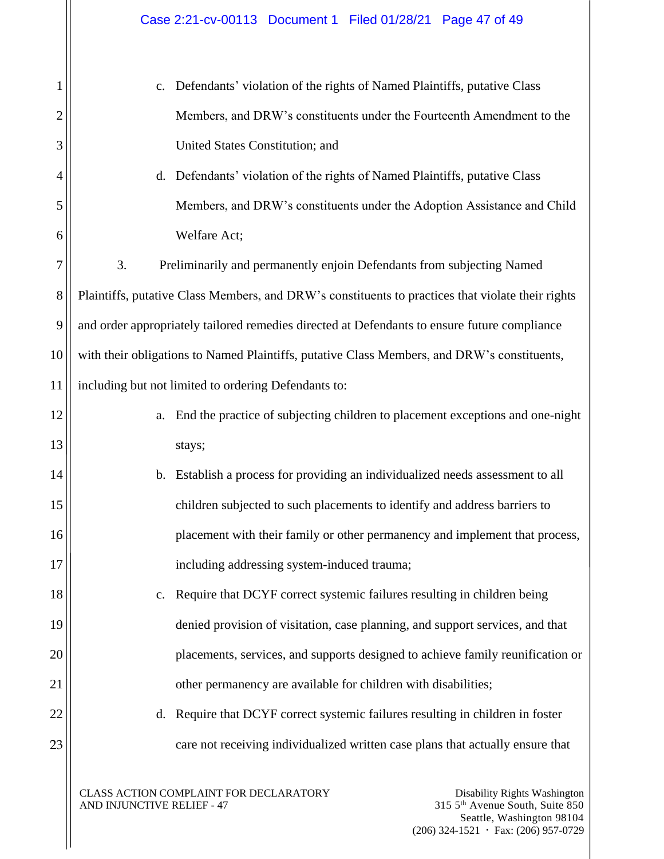| 1              | c. Defendants' violation of the rights of Named Plaintiffs, putative Class                        |  |
|----------------|---------------------------------------------------------------------------------------------------|--|
| $\overline{c}$ | Members, and DRW's constituents under the Fourteenth Amendment to the                             |  |
| 3              | United States Constitution; and                                                                   |  |
| $\overline{4}$ | Defendants' violation of the rights of Named Plaintiffs, putative Class<br>$d_{\cdot}$            |  |
| 5              | Members, and DRW's constituents under the Adoption Assistance and Child                           |  |
| 6              | Welfare Act;                                                                                      |  |
| 7              | 3.<br>Preliminarily and permanently enjoin Defendants from subjecting Named                       |  |
| 8              | Plaintiffs, putative Class Members, and DRW's constituents to practices that violate their rights |  |
| 9              | and order appropriately tailored remedies directed at Defendants to ensure future compliance      |  |
| 10             | with their obligations to Named Plaintiffs, putative Class Members, and DRW's constituents,       |  |
| 11             | including but not limited to ordering Defendants to:                                              |  |
| 12             | End the practice of subjecting children to placement exceptions and one-night<br>a.               |  |
| 13             | stays;                                                                                            |  |
| 14             | b. Establish a process for providing an individualized needs assessment to all                    |  |
| 15             | children subjected to such placements to identify and address barriers to                         |  |
| 16             | placement with their family or other permanency and implement that process,                       |  |
| 17             | including addressing system-induced trauma;                                                       |  |
| 18             | Require that DCYF correct systemic failures resulting in children being<br>$C_{\bullet}$          |  |
| 19             | denied provision of visitation, case planning, and support services, and that                     |  |
| 20             | placements, services, and supports designed to achieve family reunification or                    |  |
| 21             | other permanency are available for children with disabilities;                                    |  |
| 22             | Require that DCYF correct systemic failures resulting in children in foster<br>d.                 |  |
| 23             | care not receiving individualized written case plans that actually ensure that                    |  |
|                | CLASS ACTION COMPLAINT FOR DECLARATORY<br>Disability Rights Washington                            |  |
|                |                                                                                                   |  |

AND INJUNCTIVE RELIEF - 47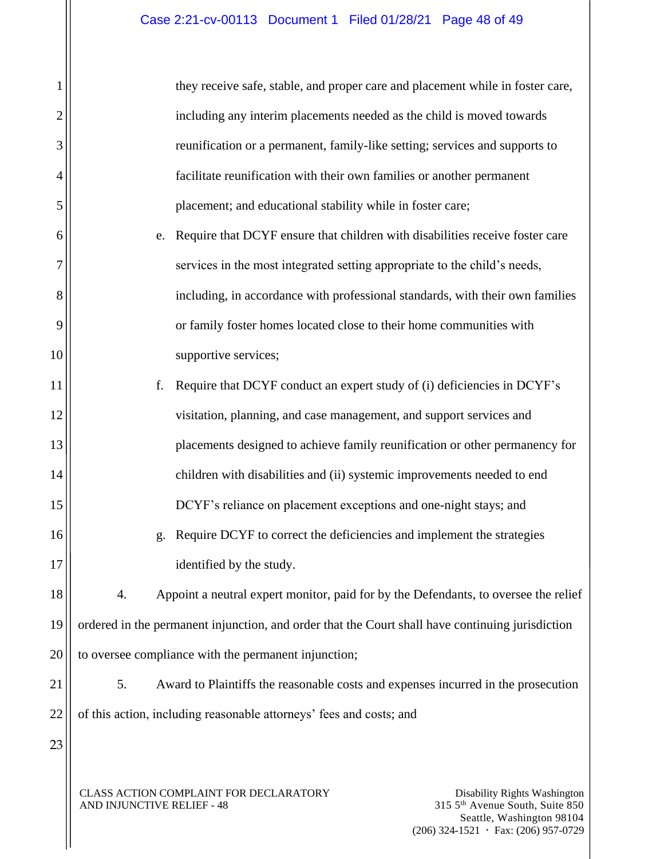| 1              |                                                                                                  | they receive safe, stable, and proper care and placement while in foster care,      |                                                                             |
|----------------|--------------------------------------------------------------------------------------------------|-------------------------------------------------------------------------------------|-----------------------------------------------------------------------------|
| $\overline{2}$ |                                                                                                  | including any interim placements needed as the child is moved towards               |                                                                             |
| 3              |                                                                                                  | reunification or a permanent, family-like setting; services and supports to         |                                                                             |
| 4              |                                                                                                  | facilitate reunification with their own families or another permanent               |                                                                             |
| 5              |                                                                                                  | placement; and educational stability while in foster care;                          |                                                                             |
| 6              | e.                                                                                               | Require that DCYF ensure that children with disabilities receive foster care        |                                                                             |
| 7              |                                                                                                  | services in the most integrated setting appropriate to the child's needs,           |                                                                             |
| 8              |                                                                                                  | including, in accordance with professional standards, with their own families       |                                                                             |
| 9              |                                                                                                  | or family foster homes located close to their home communities with                 |                                                                             |
| 10             |                                                                                                  | supportive services;                                                                |                                                                             |
| 11             | f.                                                                                               | Require that DCYF conduct an expert study of (i) deficiencies in DCYF's             |                                                                             |
| 12             |                                                                                                  | visitation, planning, and case management, and support services and                 |                                                                             |
| 13             |                                                                                                  | placements designed to achieve family reunification or other permanency for         |                                                                             |
| 14             |                                                                                                  | children with disabilities and (ii) systemic improvements needed to end             |                                                                             |
| 15             |                                                                                                  | DCYF's reliance on placement exceptions and one-night stays; and                    |                                                                             |
| 16             | g.                                                                                               | Require DCYF to correct the deficiencies and implement the strategies               |                                                                             |
| 17             |                                                                                                  | identified by the study.                                                            |                                                                             |
| 18             | 4.                                                                                               | Appoint a neutral expert monitor, paid for by the Defendants, to oversee the relief |                                                                             |
| 19             | ordered in the permanent injunction, and order that the Court shall have continuing jurisdiction |                                                                                     |                                                                             |
| 20             | to oversee compliance with the permanent injunction;                                             |                                                                                     |                                                                             |
| 21             | 5.                                                                                               | Award to Plaintiffs the reasonable costs and expenses incurred in the prosecution   |                                                                             |
| 22             | of this action, including reasonable attorneys' fees and costs; and                              |                                                                                     |                                                                             |
| 23             |                                                                                                  |                                                                                     |                                                                             |
|                |                                                                                                  |                                                                                     |                                                                             |
|                | CLASS ACTION COMPLAINT FOR DECLARATORY<br>AND INJUNCTIVE RELIEF - 48                             |                                                                                     | Disability Rights Washington<br>315 5 <sup>th</sup> Avenue South, Suite 850 |